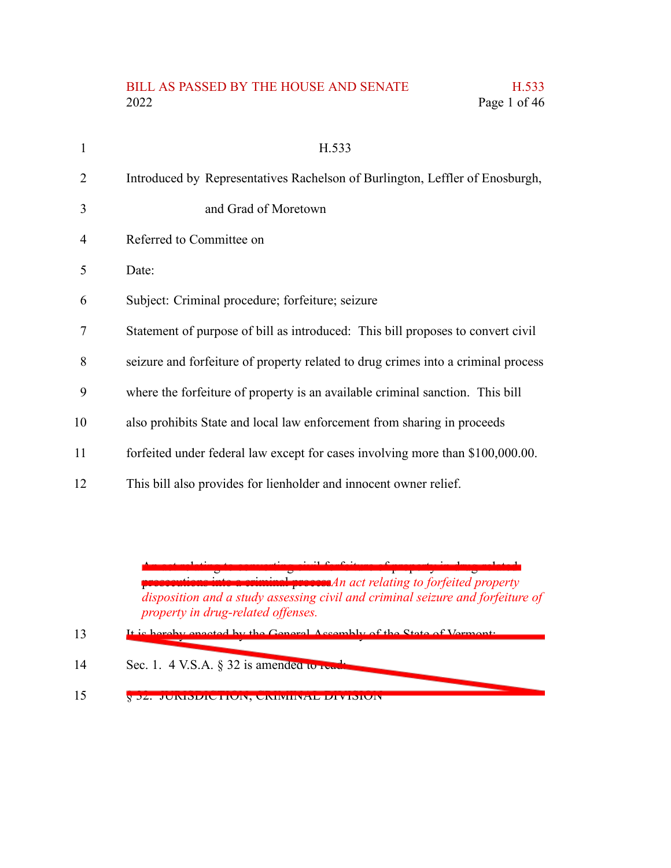# BILL AS PASSED BY THE HOUSE AND SENATE H.533 2022 Page 1 of 46

| 1  | H.533                                                                             |
|----|-----------------------------------------------------------------------------------|
| 2  | Introduced by Representatives Rachelson of Burlington, Leffler of Enosburgh,      |
| 3  | and Grad of Moretown                                                              |
| 4  | Referred to Committee on                                                          |
| 5  | Date:                                                                             |
| 6  | Subject: Criminal procedure; forfeiture; seizure                                  |
| 7  | Statement of purpose of bill as introduced: This bill proposes to convert civil   |
| 8  | seizure and forfeiture of property related to drug crimes into a criminal process |
| 9  | where the forfeiture of property is an available criminal sanction. This bill     |
| 10 | also prohibits State and local law enforcement from sharing in proceeds           |
| 11 | forfeited under federal law except for cases involving more than \$100,000.00.    |
| 12 | This bill also provides for lienholder and innocent owner relief.                 |
|    |                                                                                   |

An act relating to converting civil forfeiture of property in drug-related prosecutions into a criminal process*An act relating to forfeited property disposition and a study assessing civil and criminal seizure and forfeiture of property in drug-related offenses.*

- It is hereby enacted by the General Assembly of the State of  $V_e$ 13
- Sec. 1. 4 V.S.A. § 32 is amended to read 14
- § 32. JURISDICTION; CRIMINAL DIVISION 15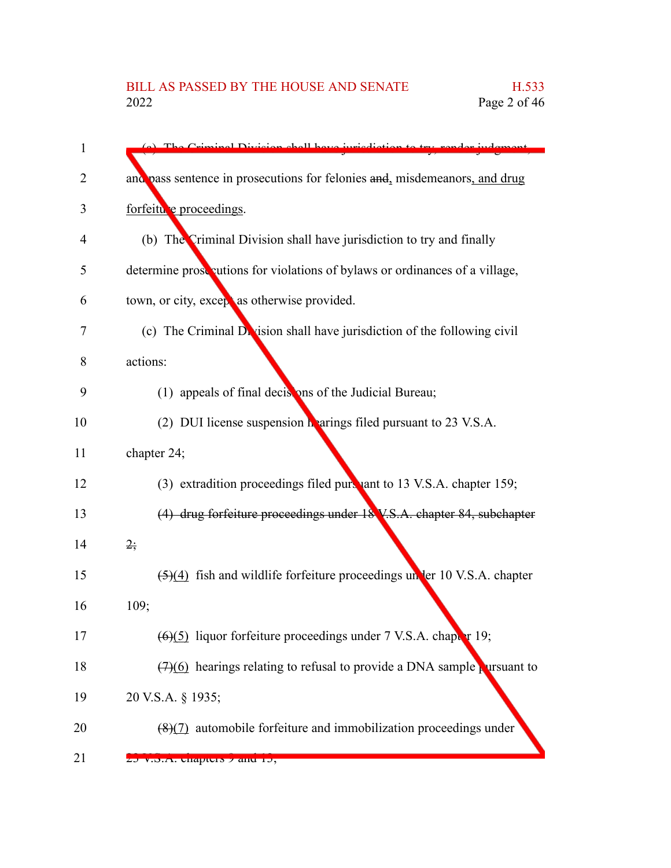| 1  | The Criminal Division shall have invigdictie                                 |
|----|------------------------------------------------------------------------------|
| 2  | and pass sentence in prosecutions for felonies and, misdemeanors, and drug   |
| 3  | forfeitu e proceedings.                                                      |
| 4  | (b) The Criminal Division shall have jurisdiction to try and finally         |
| 5  | determine prose autions for violations of bylaws or ordinances of a village, |
| 6  | town, or city, except as otherwise provided.                                 |
| 7  | (c) The Criminal Division shall have jurisdiction of the following civil     |
| 8  | actions:                                                                     |
| 9  | (1) appeals of final decisions of the Judicial Bureau;                       |
| 10 | (2) DUI license suspension hearings filed pursuant to 23 V.S.A.              |
| 11 | chapter 24;                                                                  |
| 12 | (3) extradition proceedings filed pursuant to 13 V.S.A. chapter 159;         |
| 13 | (4) drug forfeiture proceedings under 18 V.S.A. chapter 84, subchapter       |
| 14 | $2\frac{1}{2}$                                                               |
| 15 | (5)(4) fish and wildlife forfeiture proceedings un ler 10 V.S.A. chapter     |
| 16 | 109;                                                                         |
| 17 | $(6)(5)$ liquor forfeiture proceedings under 7 V.S.A. chapter 19;            |
| 18 | $(7)(6)$ hearings relating to refusal to provide a DNA sample pursuant to    |
| 19 | 20 V.S.A. § 1935;                                                            |
| 20 | $(8)(7)$ automobile forfeiture and immobilization proceedings under          |
| 21 | $25$ v.o.A. Unapture $\lambda$ and $10$ ,                                    |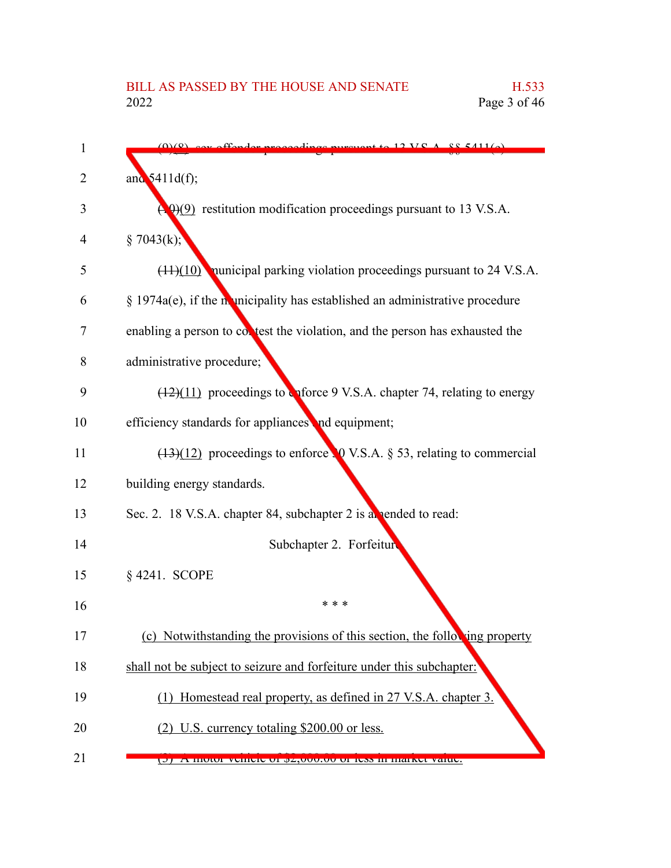| 1  | $\alpha$ purguant to 12 VC A, $\beta$ $\beta$ 411(a)                           |
|----|--------------------------------------------------------------------------------|
| 2  | and $5411d(f)$ ;                                                               |
| 3  | $\Theta$ (9) restitution modification proceedings pursuant to 13 V.S.A.        |
| 4  | § 7043(k);                                                                     |
| 5  | $(11)(10)$ nunicipal parking violation proceedings pursuant to 24 V.S.A.       |
| 6  | $\S$ 1974a(e), if the municipality has established an administrative procedure |
| 7  | enabling a person to contest the violation, and the person has exhausted the   |
| 8  | administrative procedure;                                                      |
| 9  | $(12)(11)$ proceedings to character 9 V.S.A. chapter 74, relating to energy    |
| 10 | efficiency standards for appliances and equipment;                             |
| 11 | $(13)(12)$ proceedings to enforce 0 V.S.A. § 53, relating to commercial        |
| 12 | building energy standards.                                                     |
| 13 | Sec. 2. 18 V.S.A. chapter 84, subchapter 2 is a pended to read:                |
| 14 | Subchapter 2. Forfeiture                                                       |
| 15 | § 4241. SCOPE                                                                  |
| 16 | * * *                                                                          |
| 17 | (c) Notwithstanding the provisions of this section, the following property     |
| 18 | shall not be subject to seizure and forfeiture under this subchapter:          |
| 19 | (1) Homestead real property, as defined in 27 V.S.A. chapter 3.                |
| 20 | (2) U.S. currency totaling \$200.00 or less.                                   |
| 21 | A MORE VEHICLE OF 0Z,000.00 OF ICSS IN MARKET VARIE.<br>ज                      |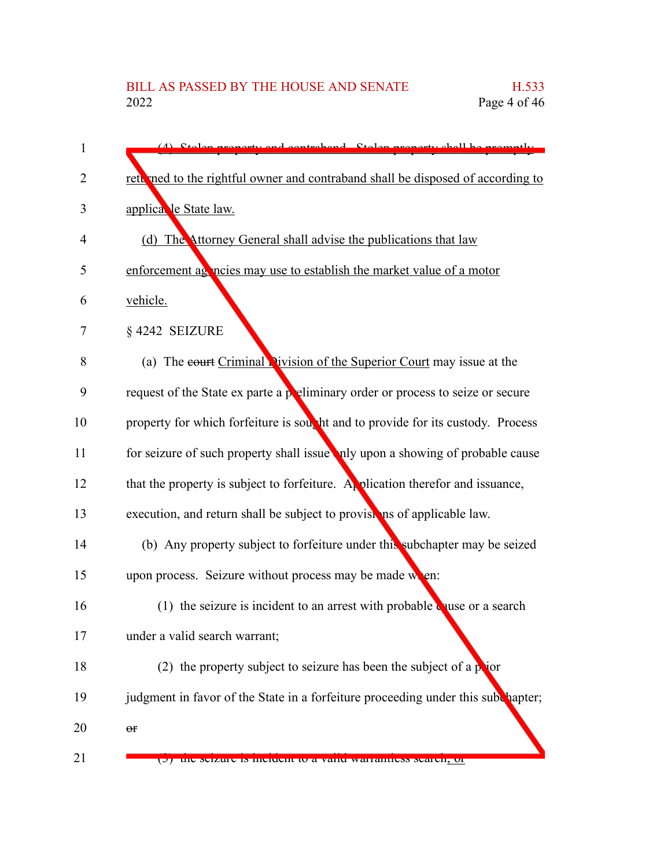| 1  | Stolen proporty and controlsed. Stolen proporty shall be promotly                   |
|----|-------------------------------------------------------------------------------------|
| 2  | returned to the rightful owner and contraband shall be disposed of according to     |
| 3  | applica le State law.                                                               |
| 4  | (d) The Attorney General shall advise the publications that law                     |
| 5  | enforcement as notices may use to establish the market value of a motor             |
| 6  | vehicle.                                                                            |
| 7  | §4242 SEIZURE                                                                       |
| 8  | (a) The court Criminal Vivision of the Superior Court may issue at the              |
| 9  | request of the State ex parte a preliminary order or process to seize or secure     |
| 10 | property for which forfeiture is south that and to provide for its custody. Process |
| 11 | for seizure of such property shall issue hely upon a showing of probable cause      |
| 12 | that the property is subject to forfeiture. A plication therefor and issuance,      |
| 13 | execution, and return shall be subject to provisions of applicable law.             |
| 14 | (b) Any property subject to forfeiture under this subchapter may be seized          |
| 15 | upon process. Seizure without process may be made when:                             |
| 16 | (1) the seizure is incident to an arrest with probable quise or a search            |
| 17 | under a valid search warrant;                                                       |
| 18 | (2) the property subject to seizure has been the subject of a $p$ jor               |
| 19 | judgment in favor of the State in a forfeiture proceeding under this subchapter;    |
| 20 | $\Theta f$                                                                          |
| 21 | the seizure is incluent to a vanu warrantiess search, or                            |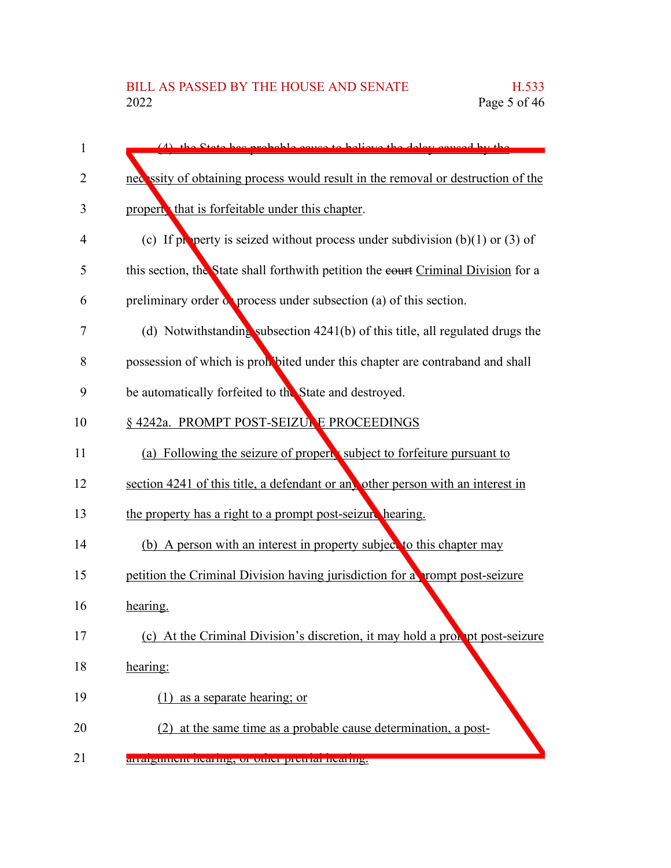| 1              | (A) the State has probable cause to believe the delay equal by the                 |
|----------------|------------------------------------------------------------------------------------|
| $\overline{2}$ | necessity of obtaining process would result in the removal or destruction of the   |
| 3              | propert that is forfeitable under this chapter.                                    |
| 4              | (c) If property is seized without process under subdivision $(b)(1)$ or $(3)$ of   |
| 5              | this section, the State shall forthwith petition the eourt Criminal Division for a |
| 6              | preliminary order $\alpha$ process under subsection (a) of this section.           |
| 7              | (d) Notwithstanding subsection $4241(b)$ of this title, all regulated drugs the    |
| 8              | possession of which is prohibited under this chapter are contraband and shall      |
| 9              | be automatically forfeited to the State and destroyed.                             |
| 10             | § 4242a. PROMPT POST-SEIZUNE PROCEEDINGS                                           |
| 11             | (a) Following the seizure of propert subject to forfeiture pursuant to             |
| 12             | section 4241 of this title, a defendant or any other person with an interest in    |
| 13             | the property has a right to a prompt post-seizure hearing.                         |
| 14             | (b) A person with an interest in property subject to this chapter may              |
| 15             | petition the Criminal Division having jurisdiction for a rompt post-seizure        |
| 16             | hearing.                                                                           |
| 17             | (c) At the Criminal Division's discretion, it may hold a probability post-seizure  |
| 18             | hearing:                                                                           |
| 19             | as a separate hearing; or<br>(1)                                                   |
| 20             | (2) at the same time as a probable cause determination, a post-                    |
| 21             | arraighment nearing, or other pretrial nearing.                                    |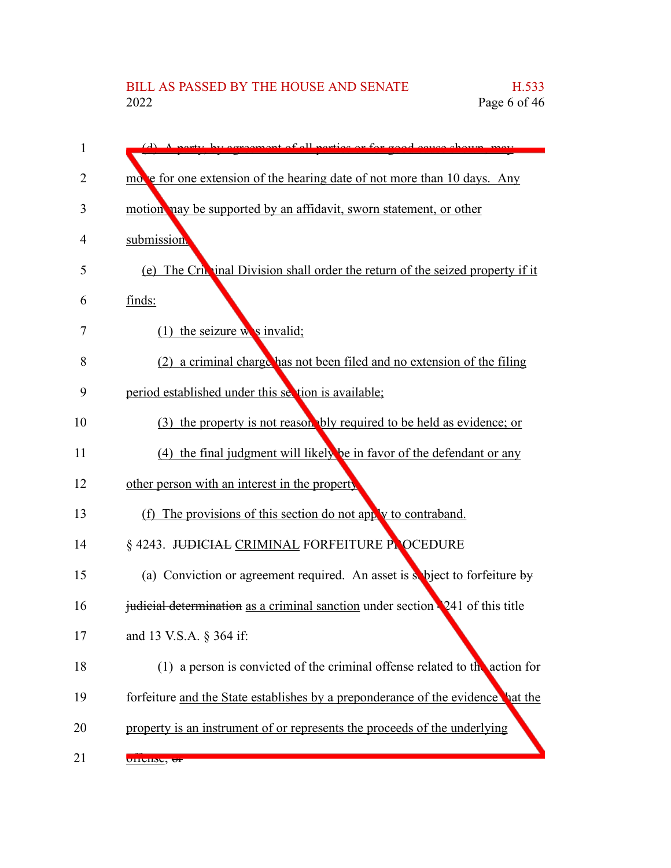| 1  | (d) A nexty by economiant of all perties or for good equation                   |
|----|---------------------------------------------------------------------------------|
| 2  | move for one extension of the hearing date of not more than 10 days. Any        |
| 3  | motion hay be supported by an affidavit, sworn statement, or other              |
| 4  | submission.                                                                     |
| 5  | (e) The Critician Division shall order the return of the seized property if it  |
| 6  | finds:                                                                          |
| 7  | $(1)$ the seizure w s invalid;                                                  |
| 8  | (2) a criminal charge has not been filed and no extension of the filing         |
| 9  | period established under this section is available;                             |
| 10 | (3) the property is not reason bly required to be held as evidence; or          |
| 11 | (4) the final judgment will likely be in favor of the defendant or any          |
| 12 | other person with an interest in the property                                   |
| 13 | (f) The provisions of this section do not apply to contraband.                  |
| 14 | § 4243. JUDICIAL CRIMINAL FORFEITURE PLOCEDURE                                  |
| 15 | (a) Conviction or agreement required. An asset is subject to forfeiture by      |
| 16 | judicial determination as a criminal sanction under section 241 of this title   |
| 17 | and 13 V.S.A. § 364 if:                                                         |
| 18 | (1) a person is convicted of the criminal offense related to the action for     |
| 19 | forfeiture and the State establishes by a preponderance of the evidence hat the |
| 20 | property is an instrument of or represents the proceeds of the underlying       |
| 21 | <b>UITCHNC, UF</b>                                                              |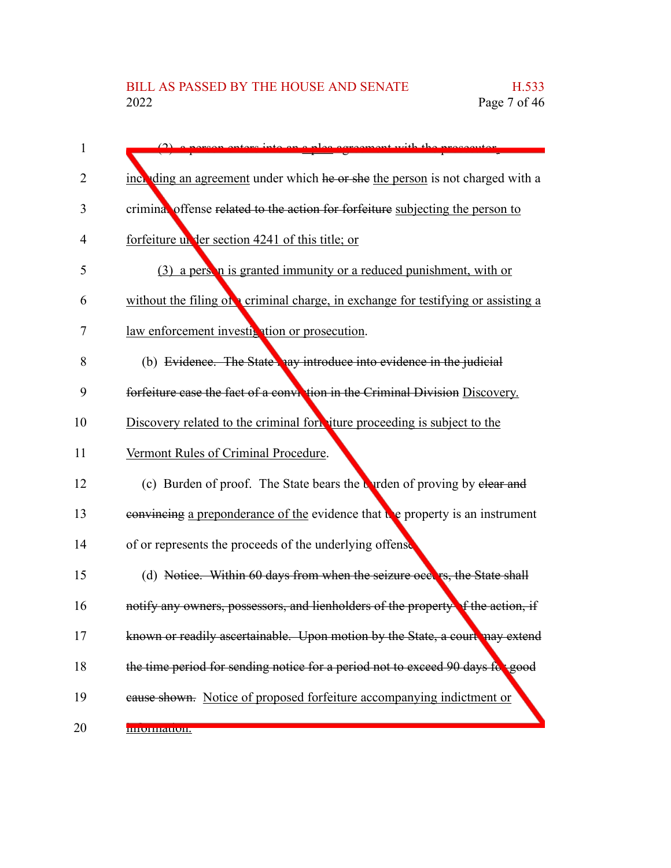| 1              |                                                                                  |
|----------------|----------------------------------------------------------------------------------|
| 2              | inch ding an agreement under which he or she the person is not charged with a    |
| 3              | crimina, offense related to the action for forfeiture subjecting the person to   |
| $\overline{4}$ | forfeiture un der section 4241 of this title; or                                 |
| 5              | (3) a person is granted immunity or a reduced punishment, with or                |
| 6              | without the filing of criminal charge, in exchange for testifying or assisting a |
| 7              | law enforcement investigation or prosecution.                                    |
| 8              | (b) Evidence. The State hay introduce into evidence in the judicial              |
| 9              | forfeiture case the fact of a conviction in the Criminal Division Discovery.     |
| 10             | Discovery related to the criminal form iture proceeding is subject to the        |
| 11             | Vermont Rules of Criminal Procedure.                                             |
| 12             | (c) Burden of proof. The State bears the Uyrden of proving by elear and          |
| 13             | convincing a preponderance of the evidence that the property is an instrument    |
| 14             | of or represents the proceeds of the underlying offense                          |
| 15             | (d) Notice. Within 60 days from when the seizure occurs, the State shall         |
| 16             | notify any owners, possessors, and lienholders of the property of the action, if |
| 17             | known or readily ascertainable. Upon motion by the State, a court may extend     |
| 18             | the time period for sending notice for a period not to exceed 90 days for good   |
| 19             | eause shown. Notice of proposed forfeiture accompanying indictment or            |
| 20             | ппониации.                                                                       |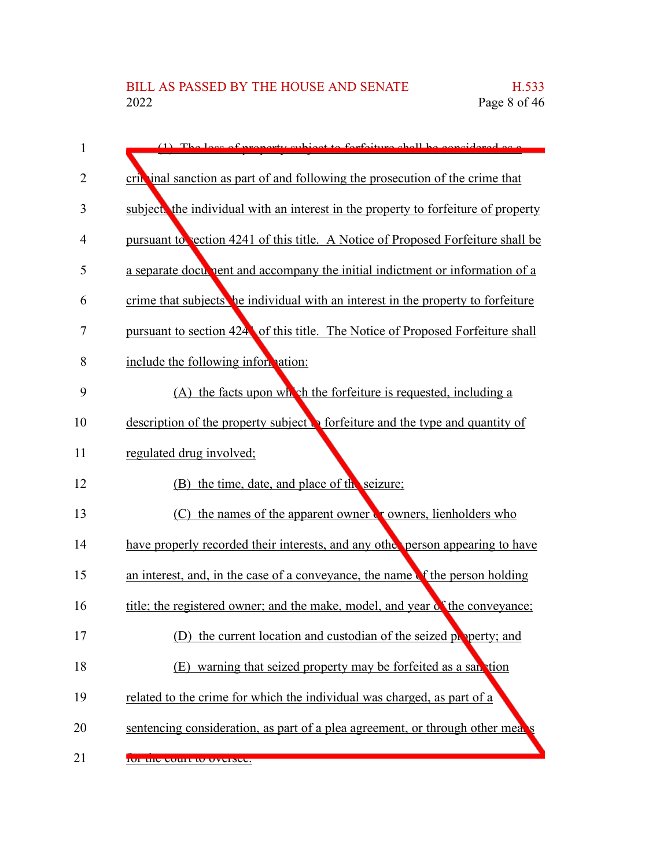| 1  | $(1)$ The loss of proporty subject to forfoiture shall be considered as a                |
|----|------------------------------------------------------------------------------------------|
| 2  | crib inal sanction as part of and following the prosecution of the crime that            |
| 3  | subject the individual with an interest in the property to forfeiture of property        |
| 4  | pursuant to section 4241 of this title. A Notice of Proposed Forfeiture shall be         |
| 5  | a separate document and accompany the initial indictment or information of a             |
| 6  | crime that subjects be individual with an interest in the property to forfeiture         |
| 7  | pursuant to section 424 of this title. The Notice of Proposed Forfeiture shall           |
| 8  | include the following information:                                                       |
| 9  | (A) the facts upon which the forfeiture is requested, including a                        |
| 10 | description of the property subject $\mathbf{R}$ forfeiture and the type and quantity of |
| 11 | regulated drug involved;                                                                 |
| 12 | (B) the time, date, and place of the seizure;                                            |
| 13 | $(C)$ the names of the apparent owner $\zeta$ owners, lienholders who                    |
| 14 | have properly recorded their interests, and any other person appearing to have           |
| 15 | an interest, and, in the case of a conveyance, the name of the person holding            |
| 16 | title; the registered owner; and the make, model, and year of the conveyance;            |
| 17 | (D) the current location and custodian of the seized property; and                       |
| 18 | (E) warning that seized property may be forfeited as a san tion                          |
| 19 | related to the crime for which the individual was charged, as part of a                  |
| 20 | sentencing consideration, as part of a plea agreement, or through other mea              |
| 21 | <b>TOT THE COULT TO OVERSEE.</b>                                                         |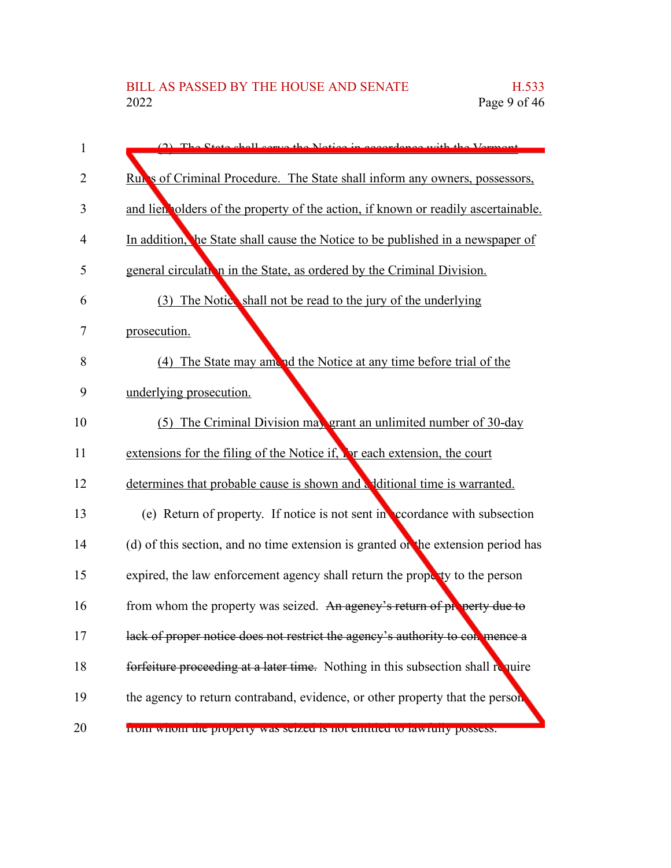| 1  | (2) The State shall serve the Nation in accordance with the Vermont               |
|----|-----------------------------------------------------------------------------------|
| 2  | Rules of Criminal Procedure. The State shall inform any owners, possessors,       |
| 3  | and lien olders of the property of the action, if known or readily ascertainable. |
| 4  | In addition, he State shall cause the Notice to be published in a newspaper of    |
| 5  | general circulation in the State, as ordered by the Criminal Division.            |
| 6  | (3) The Notics shall not be read to the jury of the underlying                    |
| 7  | prosecution.                                                                      |
| 8  | (4) The State may amend the Notice at any time before trial of the                |
| 9  | underlying prosecution.                                                           |
| 10 | (5) The Criminal Division may grant an unlimited number of 30-day                 |
| 11 | extensions for the filing of the Notice if, For each extension, the court         |
| 12 | determines that probable cause is shown and a ditional time is warranted.         |
| 13 | (e) Return of property. If notice is not sent in coordance with subsection        |
| 14 | (d) of this section, and no time extension is granted of the extension period has |
| 15 | expired, the law enforcement agency shall return the property to the person       |
| 16 | from whom the property was seized. An agency's return of property due to          |
| 17 | lack of proper notice does not restrict the agency's authority to con mence a     |
| 18 | forfeiture proceeding at a later time. Nothing in this subsection shall require   |
| 19 | the agency to return contraband, evidence, or other property that the person      |
| 20 | HOIH WHOIH the property was seized is not entitled to fawfully possess.           |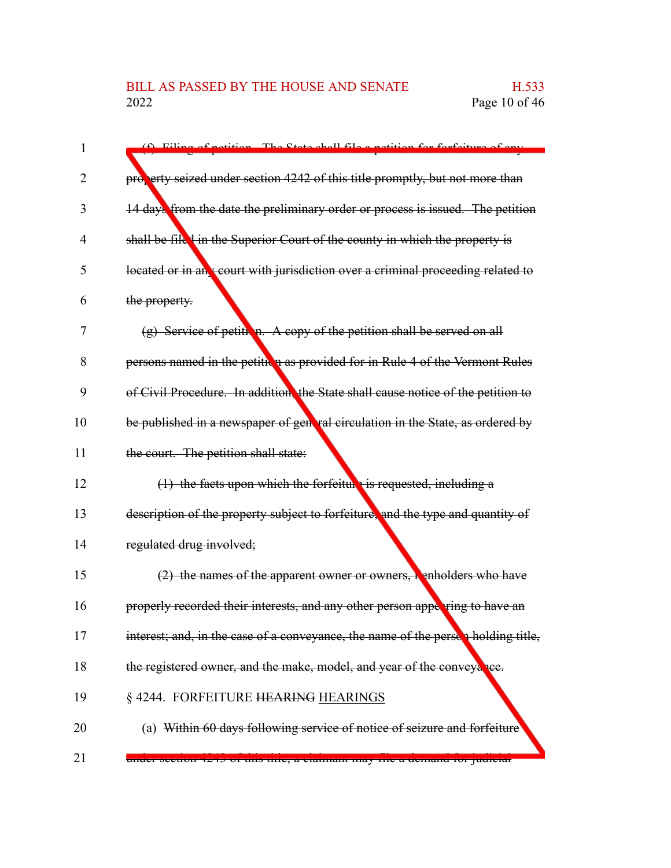| 1  | (f) Filing of potition The State shall file a notition<br>r forfoiture of a<br>$f_{\alpha}$ |
|----|---------------------------------------------------------------------------------------------|
| 2  | property seized under section 4242 of this title promptly, but not more than                |
|    |                                                                                             |
| 3  | 14 days from the date the preliminary order or process is issued. The petition              |
| 4  | shall be file I in the Superior Court of the county in which the property is                |
| 5  | located or in an court with jurisdiction over a criminal proceeding related to              |
| 6  | the property.                                                                               |
| 7  | $(g)$ Service of petition. A copy of the petition shall be served on all                    |
| 8  | persons named in the petitive as provided for in Rule 4 of the Vermont Rules                |
| 9  | of Civil Procedure. In addition, the State shall cause notice of the petition to            |
| 10 | be published in a newspaper of general circulation in the State, as ordered by              |
| 11 | the court. The petition shall state:                                                        |
| 12 | $(1)$ the facts upon which the forfeiture is requested, including a                         |
| 13 | description of the property subject to forfeiture, and the type and quantity of             |
| 14 | regulated drug involved;                                                                    |
| 15 | $(2)$ the names of the apparent owner or owners, henholders who have                        |
| 16 | properly recorded their interests, and any other person appering to have an                 |
| 17 | interest; and, in the case of a conveyance, the name of the perses holding title,           |
| 18 | the registered owner, and the make, model, and year of the conveyance.                      |
| 19 | § 4244. FORFEITURE HEARING HEARINGS                                                         |
| 20 | (a) Within 60 days following service of notice of seizure and forfeiture                    |
| 21 | unuer secuon 4245 or uns uue, a clannam may me a uemanu for juurelar                        |
|    |                                                                                             |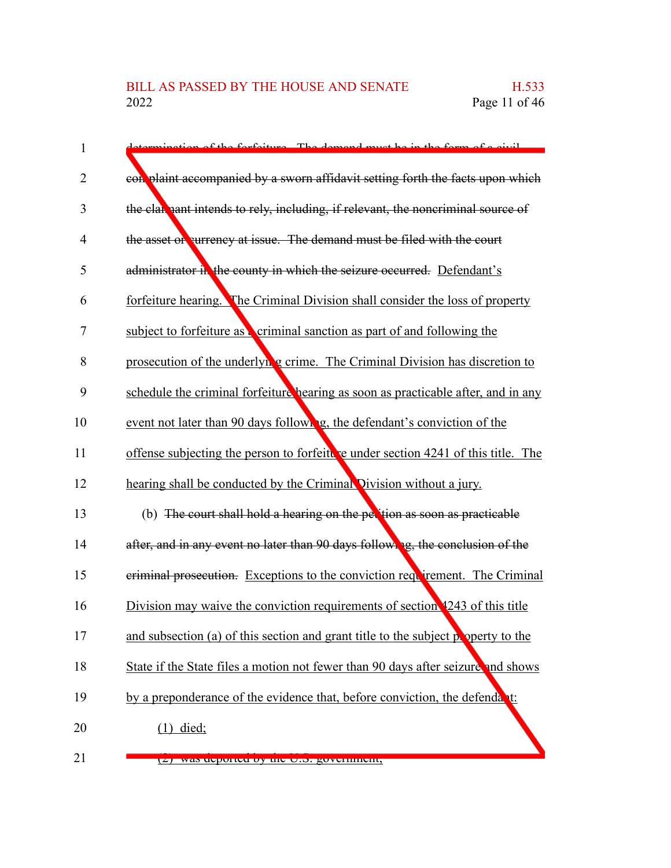| potion of the forfoiture. The demand must be in the form of a civil                 |
|-------------------------------------------------------------------------------------|
| con plaint accompanied by a sworn affidavit setting forth the facts upon which      |
| the claimant intends to rely, including, if relevant, the noncriminal source of     |
| the asset of currency at issue. The demand must be filed with the court             |
| administrator in the county in which the seizure occurred. Defendant's              |
| forfeiture hearing. The Criminal Division shall consider the loss of property       |
| subject to forfeiture as criminal sanction as part of and following the             |
| prosecution of the underlyh <i>g</i> crime. The Criminal Division has discretion to |
| schedule the criminal forfeiture hearing as soon as practicable after, and in any   |
| event not later than 90 days following, the defendant's conviction of the           |
| offense subjecting the person to forfeiture under section 4241 of this title. The   |
| hearing shall be conducted by the Criminal Division without a jury.                 |
| (b) The court shall hold a hearing on the pertion as soon as practicable            |
| after, and in any event no later than 90 days following, the conclusion of the      |
| eriminal prosecution. Exceptions to the conviction requirement. The Criminal        |
| Division may waive the conviction requirements of section 1243 of this title        |
| and subsection (a) of this section and grant title to the subject property to the   |
| State if the State files a motion not fewer than 90 days after seizure and shows    |
| by a preponderance of the evidence that, before conviction, the defendant:          |
| $(1)$ died;                                                                         |
| $(2)$ was deported by the U.S. government,                                          |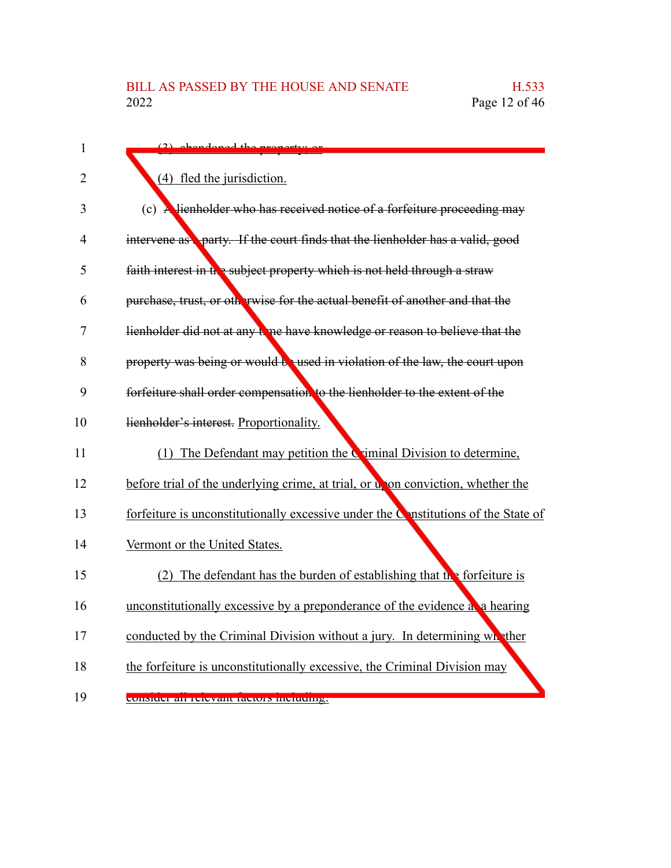| $\mathbf{1}$   | $(2)$ abondoned the proporty.                                                                  |
|----------------|------------------------------------------------------------------------------------------------|
| $\overline{2}$ | (4) fled the jurisdiction.                                                                     |
| 3              | (c) A lienholder who has received notice of a forfeiture proceeding may                        |
| 4              | intervene as party. If the court finds that the lienholder has a valid, good                   |
| 5              | faith interest in the subject property which is not held through a straw                       |
| 6              | purchase, trust, or otherwise for the actual benefit of another and that the                   |
| 7              | lienholder did not at any to ne have knowledge or reason to believe that the                   |
| 8              | property was being or would be used in violation of the law, the court upon                    |
| 9              | forfeiture shall order compensation to the lienholder to the extent of the                     |
| 10             | lienholder's interest. Proportionality.                                                        |
| 11             | (1) The Defendant may petition the Criminal Division to determine,                             |
| 12             | before trial of the underlying crime, at trial, or up on conviction, whether the               |
| 13             | forfeiture is unconstitutionally excessive under the $\mathcal{C}$ nstitutions of the State of |
| 14             | Vermont or the United States.                                                                  |
| 15             | (2) The defendant has the burden of establishing that the forfeiture is                        |
| 16             | unconstitutionally excessive by a preponderance of the evidence a a hearing                    |
| 17             | conducted by the Criminal Division without a jury. In determining what ther                    |
| 18             | the forfeiture is unconstitutionally excessive, the Criminal Division may                      |
| 19             | consider an refevant factors including.                                                        |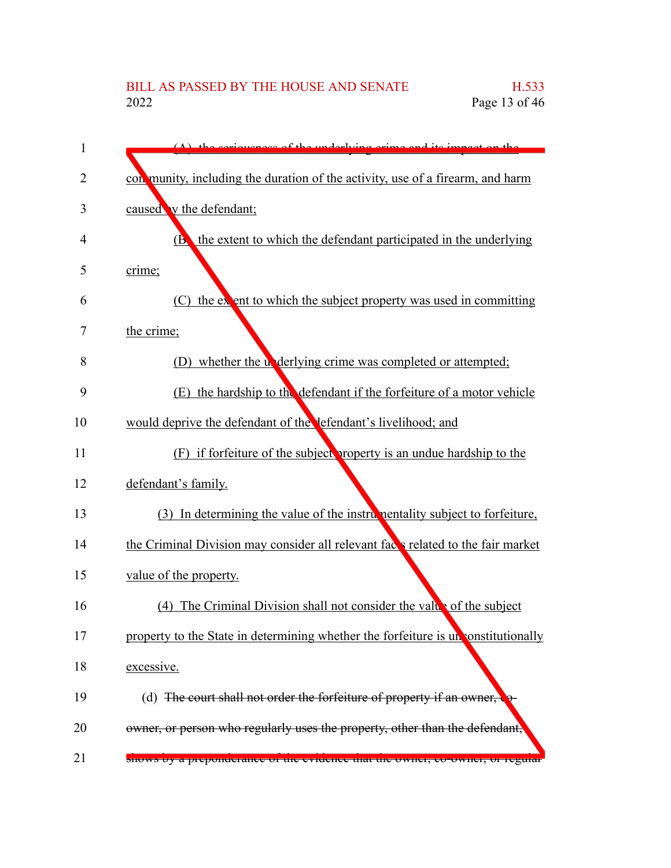| 1  | $(\Lambda)$ the computer of the underlying erims and its impact on the             |
|----|------------------------------------------------------------------------------------|
| 2  | con munity, including the duration of the activity, use of a firearm, and harm     |
| 3  | caused v the defendant;                                                            |
| 4  | the extent to which the defendant participated in the underlying<br>(B)            |
| 5  | crime;                                                                             |
| 6  | the extent to which the subject property was used in committing<br>(C)             |
| 7  | the crime;                                                                         |
| 8  | (D) whether the underlying crime was completed or attempted;                       |
| 9  | the hardship to the defendant if the forfeiture of a motor vehicle<br>(E)          |
| 10 | would deprive the defendant of the lefendant's livelihood; and                     |
| 11 | (F) if forfeiture of the subject property is an undue hardship to the              |
| 12 | defendant's family.                                                                |
| 13 | (3) In determining the value of the instrumentality subject to forfeiture,         |
| 14 | the Criminal Division may consider all relevant faces related to the fair market   |
| 15 | value of the property.                                                             |
| 16 | The Criminal Division shall not consider the value of the subject<br>(4)           |
| 17 | property to the State in determining whether the forfeiture is un constitutionally |
| 18 | excessive.                                                                         |
| 19 | (d) The court shall not order the forfeiture of property if an owner,              |
| 20 | owner, or person who regularly uses the property, other than the defendant,        |
| 21 | shows by a preponderance or the evidence that the owner, co-owner, or regular      |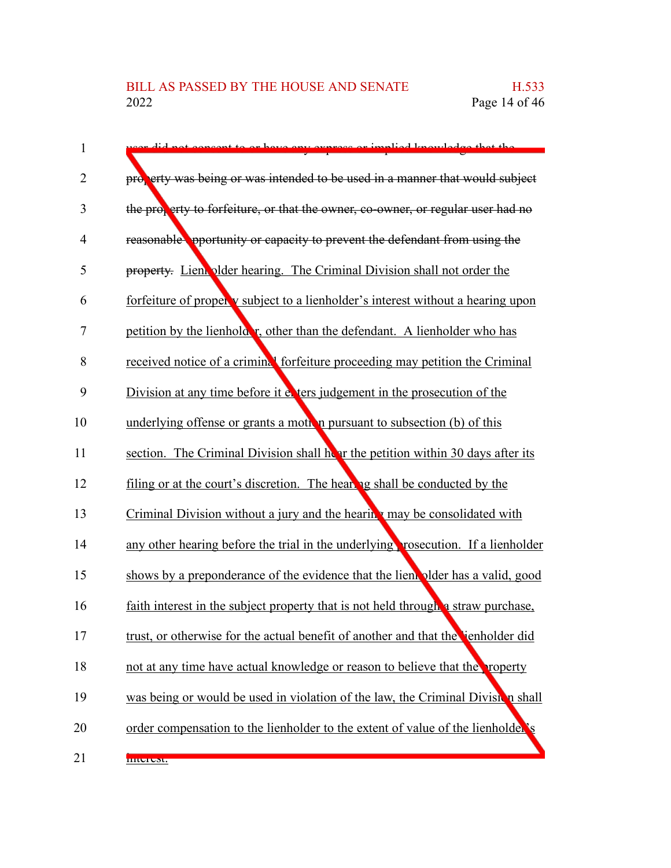| d not concent to or have only avove<br>arimplied know                             |
|-----------------------------------------------------------------------------------|
| property was being or was intended to be used in a manner that would subject      |
| the property to forfeiture, or that the owner, co-owner, or regular user had no   |
| reasonable opportunity or capacity to prevent the defendant from using the        |
| property. Lien plder hearing. The Criminal Division shall not order the           |
| forfeiture of properly subject to a lienholder's interest without a hearing upon  |
| petition by the lienholder, other than the defendant. A lienholder who has        |
| received notice of a criminal forfeiture proceeding may petition the Criminal     |
| Division at any time before it evers judgement in the prosecution of the          |
| underlying offense or grants a motion pursuant to subsection (b) of this          |
| section. The Criminal Division shall hear the petition within 30 days after its   |
| filing or at the court's discretion. The hearing shall be conducted by the        |
| Criminal Division without a jury and the hearing may be consolidated with         |
| any other hearing before the trial in the underlying rosecution. If a lienholder  |
| shows by a preponderance of the evidence that the lient plder has a valid, good   |
| faith interest in the subject property that is not held through a straw purchase, |
| trust, or otherwise for the actual benefit of another and that the enholder did   |
| not at any time have actual knowledge or reason to believe that the property      |
| was being or would be used in violation of the law, the Criminal Division shall   |
| order compensation to the lienholder to the extent of value of the lienholder's   |
| <b>IIIUTUSI.</b>                                                                  |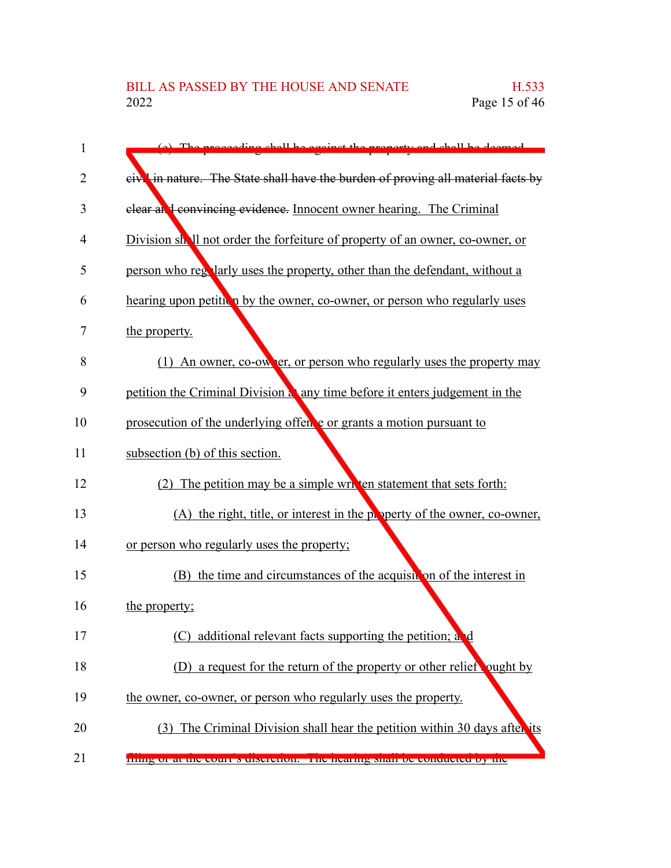| 1  | (a) The proceeding shell be egginet the property and shell be deemed                         |
|----|----------------------------------------------------------------------------------------------|
| 2  | eiv <sup>1</sup> in nature. The State shall have the burden of proving all material facts by |
| 3  | clear and convincing evidence. Innocent owner hearing. The Criminal                          |
| 4  | Division shall not order the forfeiture of property of an owner, co-owner, or                |
| 5  | person who regularly uses the property, other than the defendant, without a                  |
| 6  | hearing upon petition by the owner, co-owner, or person who regularly uses                   |
| 7  | the property.                                                                                |
| 8  | (1) An owner, co-owner, or person who regularly uses the property may                        |
| 9  | petition the Criminal Division at any time before it enters judgement in the                 |
| 10 | prosecution of the underlying offence or grants a motion pursuant to                         |
| 11 | subsection (b) of this section.                                                              |
| 12 | (2) The petition may be a simple written statement that sets forth:                          |
| 13 | (A) the right, title, or interest in the property of the owner, co-owner,                    |
| 14 | or person who regularly uses the property;                                                   |
| 15 | (B) the time and circumstances of the acquisit on of the interest in                         |
| 16 | the property;                                                                                |
| 17 | additional relevant facts supporting the petition; and<br>(C)                                |
| 18 | (D) a request for the return of the property or other relief ought by                        |
| 19 | the owner, co-owner, or person who regularly uses the property.                              |
| 20 | (3) The Criminal Division shall hear the petition within 30 days after its                   |
| 21 | ming or at the court s urscretion. The nearing shart be conducted by the                     |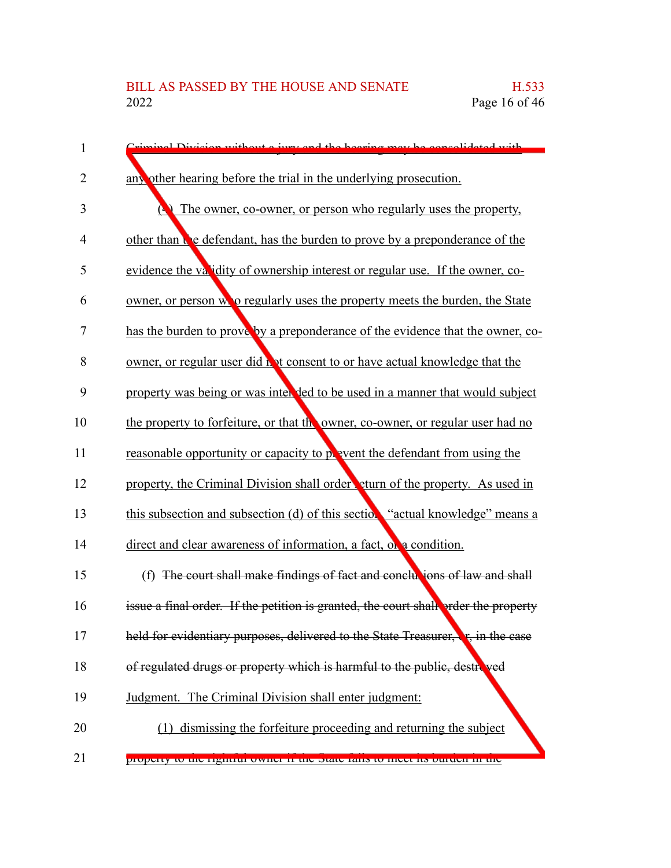| 1              | riminal Division without a juny and the begging may be consolidated with                |
|----------------|-----------------------------------------------------------------------------------------|
| $\overline{2}$ | any other hearing before the trial in the underlying prosecution.                       |
| 3              | The owner, co-owner, or person who regularly uses the property,                         |
| 4              | other than the defendant, has the burden to prove by a preponderance of the             |
| 5              | evidence the validity of ownership interest or regular use. If the owner, co-           |
| 6              | owner, or person wo regularly uses the property meets the burden, the State             |
| 7              | has the burden to prove by a preponderance of the evidence that the owner, co-          |
| 8              | owner, or regular user did hot consent to or have actual knowledge that the             |
| 9              | property was being or was interved to be used in a manner that would subject            |
| 10             | the property to forfeiture, or that the owner, co-owner, or regular user had no         |
| 11             | reasonable opportunity or capacity to pover the defendant from using the                |
| 12             | property, the Criminal Division shall order eturn of the property. As used in           |
| 13             | this subsection and subsection (d) of this section "actual knowledge" means a           |
| 14             | direct and clear awareness of information, a fact, or a condition.                      |
| 15             | (f) The court shall make findings of fact and conclusions of law and shall              |
| 16             | issue a final order. If the petition is granted, the court shall order the property     |
| 17             | held for evidentiary purposes, delivered to the State Treasurer, <b>F</b> , in the case |
| 18             | of regulated drugs or property which is harmful to the public, destroved                |
| 19             | Judgment. The Criminal Division shall enter judgment:                                   |
| 20             | (1) dismissing the forfeiture proceeding and returning the subject                      |
|                |                                                                                         |

property to the rightful owner if the State fails to meet its burden in the 21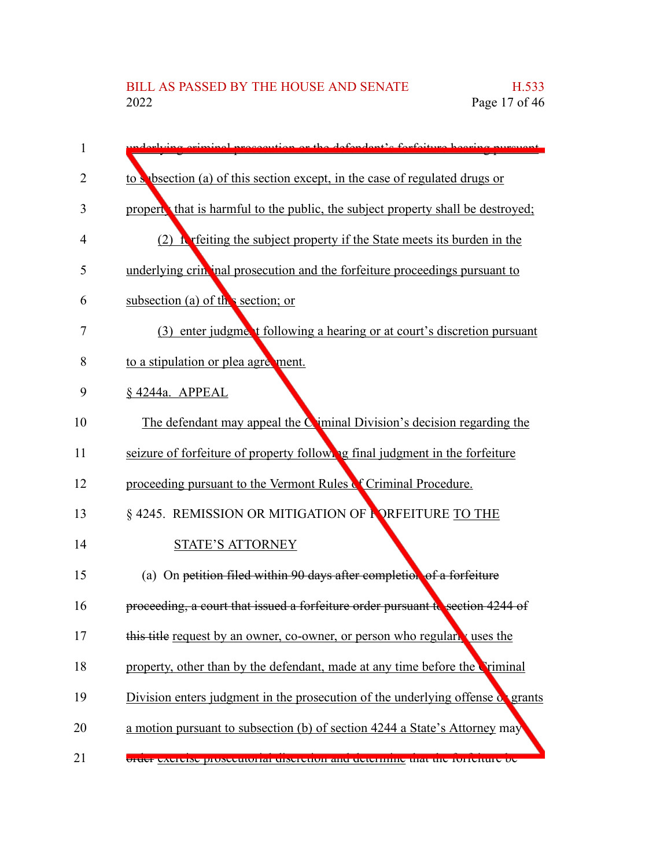| 1              | doubring original processition or the defendant's forfeiture heaving pursue              |
|----------------|------------------------------------------------------------------------------------------|
| $\overline{2}$ | to s bsection (a) of this section except, in the case of regulated drugs or              |
| 3              | propert that is harmful to the public, the subject property shall be destroyed;          |
| 4              | (2) It refers the subject property if the State meets its burden in the                  |
| 5              | underlying crin inal prosecution and the forfeiture proceedings pursuant to              |
| 6              | subsection (a) of the section; or                                                        |
| 7              | (3) enter judgment following a hearing or at court's discretion pursuant                 |
| 8              | to a stipulation or plea agreement.                                                      |
| 9              | § 4244a. APPEAL                                                                          |
| 10             | The defendant may appeal the Ciminal Division's decision regarding the                   |
| 11             | seizure of forfeiture of property following final judgment in the forfeiture             |
| 12             | proceeding pursuant to the Vermont Rules of Criminal Procedure.                          |
| 13             | § 4245. REMISSION OR MITIGATION OF <b>FORFEITURE</b> TO THE                              |
| 14             | <b>STATE'S ATTORNEY</b>                                                                  |
| 15             | (a) On petition filed within 90 days after completion of a forfeiture                    |
| 16             | proceeding, a court that issued a forfeiture order pursuant to section 4244 of           |
| 17             | this title request by an owner, co-owner, or person who regularly uses the               |
| 18             | property, other than by the defendant, made at any time before the Criminal              |
| 19             | Division enters judgment in the prosecution of the underlying offense of grants          |
| 20             | a motion pursuant to subsection (b) of section 4244 a State's Attorney may               |
| 21             | <del>oraer exercise prosecutorial discretion and determine that the fortentire oc-</del> |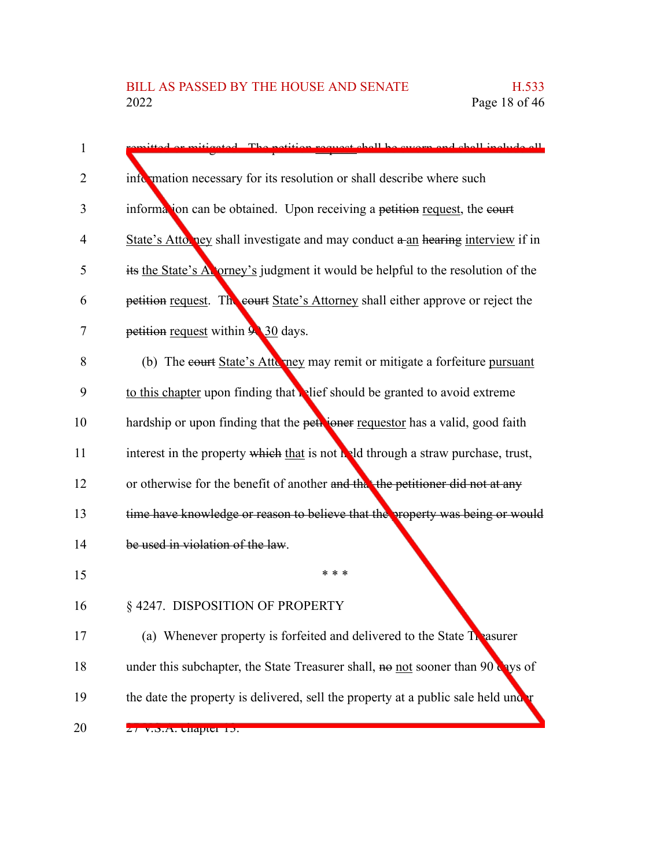| $\mathbf{1}$ | instead. The notition request shall be system and shall include all               |
|--------------|-----------------------------------------------------------------------------------|
| 2            | information necessary for its resolution or shall describe where such             |
| 3            | information can be obtained. Upon receiving a petition request, the court         |
| 4            | State's Attorney shall investigate and may conduct a an hearing interview if in   |
| 5            | its the State's Atorney's judgment it would be helpful to the resolution of the   |
| 6            | petition request. The court State's Attorney shall either approve or reject the   |
| 7            | petition request within 9 30 days.                                                |
| 8            | (b) The court State's Attu ney may remit or mitigate a forfeiture pursuant        |
| 9            | to this chapter upon finding that elief should be granted to avoid extreme        |
| 10           | hardship or upon finding that the petroner requestor has a valid, good faith      |
| 11           | interest in the property which that is not held through a straw purchase, trust,  |
| 12           | or otherwise for the benefit of another and that the petitioner did not at any    |
| 13           | time have knowledge or reason to believe that the property was being or would     |
| 14           | be used in violation of the law.                                                  |
| 15           | * * *                                                                             |
| 16           | §4247. DISPOSITION OF PROPERTY                                                    |
| 17           | (a) Whenever property is forfeited and delivered to the State Treasurer           |
| 18           | under this subchapter, the State Treasurer shall, no not sooner than 90 aves of   |
| 19           | the date the property is delivered, sell the property at a public sale held under |
| 20           | 27 v.d.A. unaptul 15.                                                             |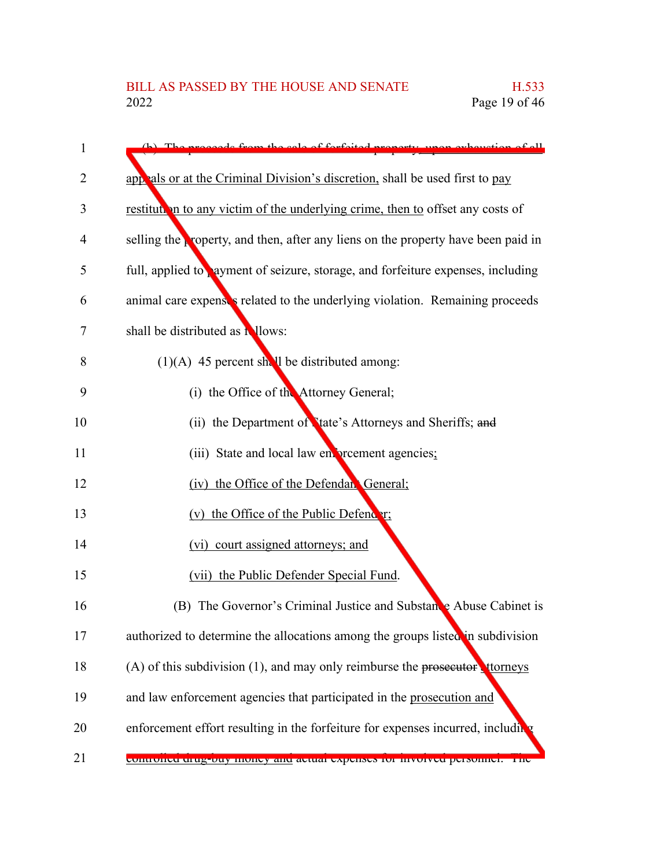| 1  | de from the colo of forfaited nro                                                 |
|----|-----------------------------------------------------------------------------------|
| 2  | applied also or at the Criminal Division's discretion, shall be used first to pay |
| 3  | restitution to any victim of the underlying crime, then to offset any costs of    |
| 4  | selling the property, and then, after any liens on the property have been paid in |
| 5  | full, applied to ayment of seizure, storage, and forfeiture expenses, including   |
| 6  | animal care expenses related to the underlying violation. Remaining proceeds      |
| 7  | shall be distributed as <b>N</b> llows:                                           |
| 8  | $(1)(A)$ 45 percent shall be distributed among:                                   |
| 9  | (i) the Office of the Attorney General;                                           |
| 10 | (ii) the Department of Late's Attorneys and Sheriffs; and                         |
| 11 | (iii) State and local law environment agencies;                                   |
| 12 | (iv) the Office of the Defendant General;                                         |
| 13 | (v) the Office of the Public Defender;                                            |
| 14 | (vi) court assigned attorneys; and                                                |
| 15 | (vii) the Public Defender Special Fund.                                           |
| 16 | (B) The Governor's Criminal Justice and Substance Abuse Cabinet is                |
| 17 | authorized to determine the allocations among the groups listed in subdivision    |
| 18 | (A) of this subdivision $(1)$ , and may only reimburse the prosecutor trouves     |
| 19 | and law enforcement agencies that participated in the prosecution and             |
| 20 | enforcement effort resulting in the forfeiture for expenses incurred, including   |
| 21 | <u>controlicu urug-ouy money anu actual expenses for myörveu personnel. The</u>   |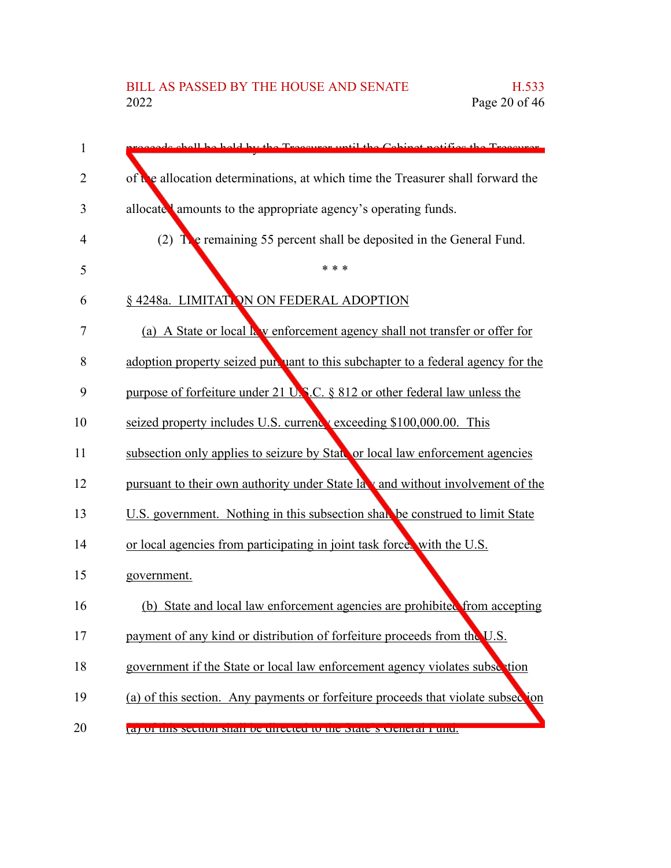| 1  | chall be hald by the Treeswer until the Cabinet notifies the Treeswer.           |
|----|----------------------------------------------------------------------------------|
| 2  | of the allocation determinations, at which time the Treasurer shall forward the  |
| 3  | allocate amounts to the appropriate agency's operating funds.                    |
| 4  | (2) $\Gamma$ e remaining 55 percent shall be deposited in the General Fund.      |
| 5  | * * *                                                                            |
| 6  | § 4248a. LIMITATION ON FEDERAL ADOPTION                                          |
| 7  | (a) A State or local k v enforcement agency shall not transfer or offer for      |
| 8  | adoption property seized pursuant to this subchapter to a federal agency for the |
| 9  | purpose of forfeiture under 21 U.S.C. § 812 or other federal law unless the      |
| 10 | seized property includes U.S. current vexceeding \$100,000.00. This              |
| 11 | subsection only applies to seizure by State or local law enforcement agencies    |
| 12 | pursuant to their own authority under State la v and without involvement of the  |
| 13 | U.S. government. Nothing in this subsection shall be construed to limit State    |
| 14 | or local agencies from participating in joint task force, with the U.S.          |
| 15 | government.                                                                      |
| 16 | (b) State and local law enforcement agencies are prohibited from accepting       |
| 17 | payment of any kind or distribution of forfeiture proceeds from the U.S.         |
| 18 | government if the State or local law enforcement agency violates subsection      |
| 19 | (a) of this section. Any payments or forfeiture proceeds that violate subsection |
| 20 | a) of this section shall be unceled to the state s cleneral punct.               |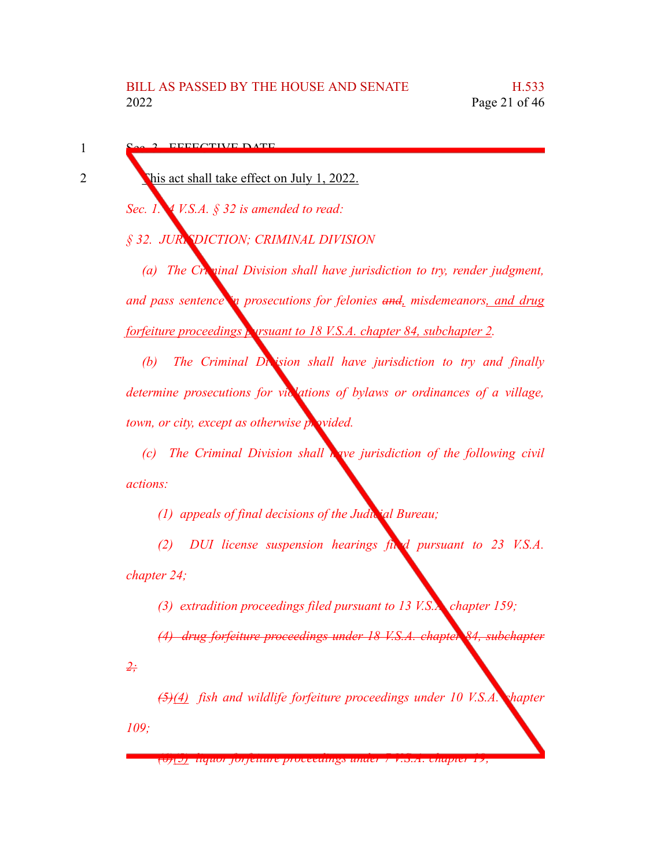EFFECTIVE DATE

1

2

This act shall take effect on July 1, 2022.

*Sec. 1. 4 V.S.A. § 32 is amended to read:*

*§ 32. JURISDICTION; CRIMINAL DIVISION*

*(a) The Criminal Division shall have jurisdiction to try, render judgment, and pass sentence in prosecutions for felonies and, misdemeanors, and drug forfeiture proceedings pursuant to 18 V.S.A. chapter 84, subchapter 2.*

*(b) The Criminal Division shall have jurisdiction to try and finally determine prosecutions for violations of bylaws or ordinances of a village, town, or city, except as otherwise provided.* 

*(c) The Criminal Division shall have jurisdiction of the following civil actions:*

*(1) appeals of final decisions of the Judicial Bureau;*

*(2) DUI license suspension hearings filed pursuant to 23 V.S.A. chapter 24;*

*(3) extradition proceedings filed pursuant to 13 V.S.A. chapter 159;*

*(4) drug forfeiture proceedings under 18 V.S.A. chapter 84, subchapter*

*2;*

*(5)(4) fish and wildlife forfeiture proceedings under 10 V.S.A. chapter 109;*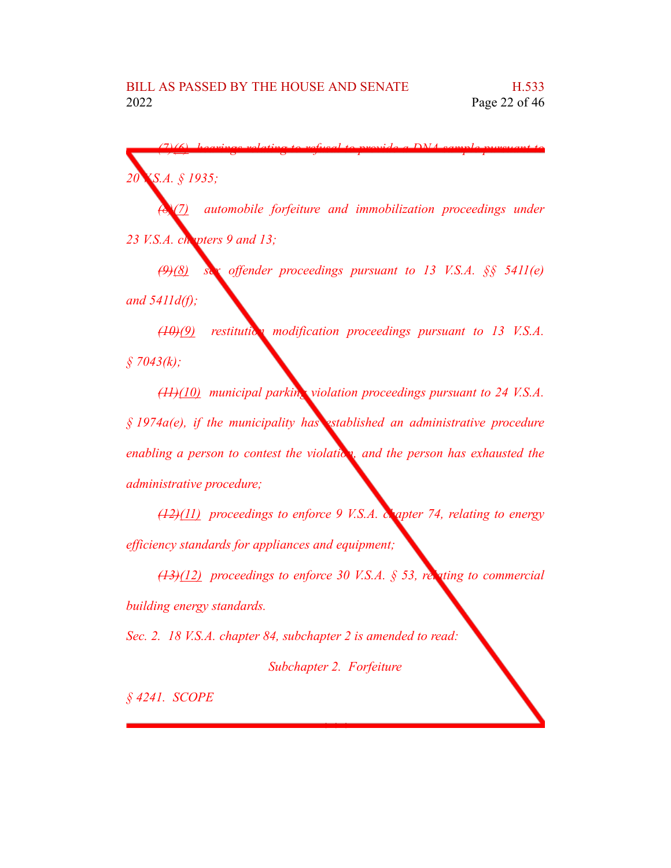*(7)(6) hearings relating to refusal to provide a DNA sample pursuant to 20 V.S.A. § 1935; (8)(7) automobile forfeiture and immobilization proceedings under*

*23 V.S.A. chapters 9 and 13;*

*(9)(8) sex offender proceedings pursuant to 13 V.S.A. §§ 5411(e) and 5411d(f);*

*(10)(9) restitution modification proceedings pursuant to 13 V.S.A. § 7043(k);*

*(11)(10) municipal parking violation proceedings pursuant to 24 V.S.A. § 1974a(e), if the municipality has established an administrative procedure enabling a person to contest the violation, and the person has exhausted the administrative procedure;*

*(12)(11) proceedings to enforce 9 V.S.A. chapter 74, relating to energy efficiency standards for appliances and equipment;*

*(13)(12) proceedings to enforce 30 V.S.A. § 53, relating to commercial building energy standards.*

*Sec. 2. 18 V.S.A. chapter 84, subchapter 2 is amended to read:*

*Subchapter 2. Forfeiture*

*\* \* \**

*§ 4241. SCOPE*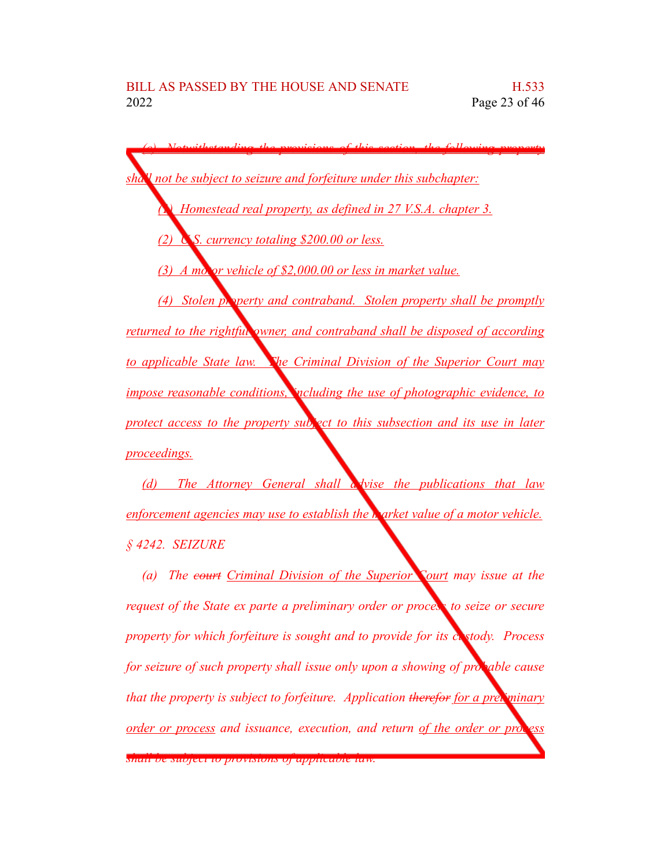*(c) Notwithstanding the provisions of this section, the following property shall not be subject to seizure and forfeiture under this subchapter: (1) Homestead real property, as defined in 27 V.S.A. chapter 3. (2) U.S. currency totaling \$200.00 or less. (3) A motor vehicle of \$2,000.00 or less in market value. (4) Stolen property and contraband. Stolen property shall be promptly returned to the rightful owner, and contraband shall be disposed of according to applicable State law. The Criminal Division of the Superior Court may impose reasonable conditions, including the use of photographic evidence, to protect access to the property subject to this subsection and its use in later proceedings.*

*(d) The Attorney General shall advise the publications that law enforcement agencies may use to establish the market value of a motor vehicle. § 4242. SEIZURE*

*(a) The court Criminal Division of the Superior Court may issue at the request of the State ex parte a preliminary order or process to seize or secure property for which forfeiture is sought and to provide for its custody. Process for seizure of such property shall issue only upon a showing of probable cause that the property is subject to forfeiture. Application therefor for a preliminary order or process and issuance, execution, and return of the order or process*

*shall be subject to provisions of applicable law.*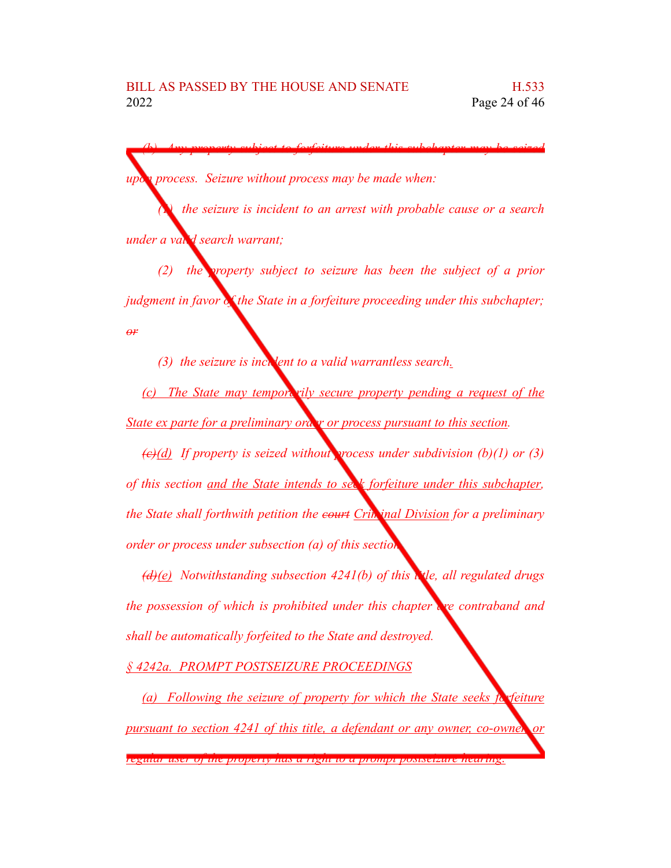*(b) Any property subject to forfeiture under this subchapter may be seized upon process. Seizure without process may be made when:*

*(1) the seizure is incident to an arrest with probable cause or a search under a valid search warrant;*

*(2) the property subject to seizure has been the subject of a prior judgment in favor of the State in a forfeiture proceeding under this subchapter; or*

*(3) the seizure is incident to a valid warrantless search.* 

*(c) The State may temporarily secure property pending a request of the State ex parte for a preliminary ora y or process pursuant to this section.* 

*(c)(d) If property is seized without process under subdivision (b)(1) or (3) of this section and the State intends to seek forfeiture under this subchapter, the State shall forthwith petition the court Criminal Division for a preliminary order or process under subsection (a) of this section.*

*(d)(e) Notwithstanding subsection 4241(b) of this title, all regulated drugs the possession of which is prohibited under this chapter are contraband and shall be automatically forfeited to the State and destroyed.*

*§ 4242a. PROMPT POSTSEIZURE PROCEEDINGS*

*(a) Following the seizure of property for which the State seeks forfeiture pursuant to section 4241 of this title, a defendant or any owner, co-owner, or*

*regular user of the property has a right to a prompt postseizure hearing.*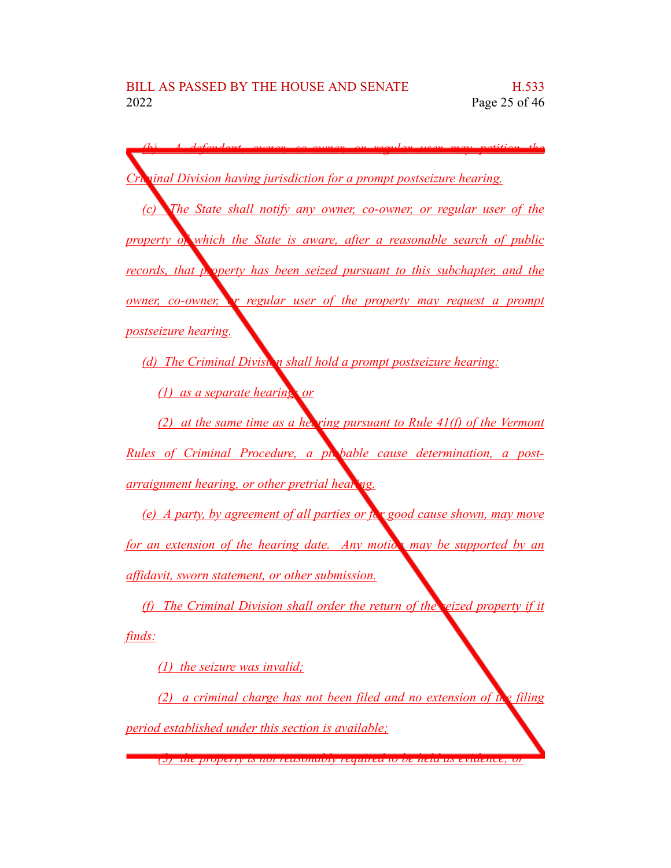*(b) A defendant, owner, co-owner, or regular user may petition the Criminal Division having jurisdiction for a prompt postseizure hearing. (c) The State shall notify any owner, co-owner, or regular user of the property of which the State is aware, after a reasonable search of public records, that property has been seized pursuant to this subchapter, and the owner, co-owner, or regular user of the property may request a prompt postseizure hearing. (d) The Criminal Division shall hold a prompt postseizure hearing: (1) as a separate hearing; or (2) at the same time as a hearing pursuant to Rule 41(f) of the Vermont Rules of Criminal Procedure, a probable cause determination, a postarraignment hearing, or other pretrial hearing. (e) A party, by agreement of all parties or for good cause shown, may move for an extension of the hearing date. Any motion may be supported by an affidavit, sworn statement, or other submission. (f) The Criminal Division shall order the return of the seized property if it*

*finds:*

*(1) the seizure was invalid;*

*(2) a criminal charge has not been filed and no extension of the filing period established under this section is available;*

*(3) the property is not reasonably required to be held as evidence; or*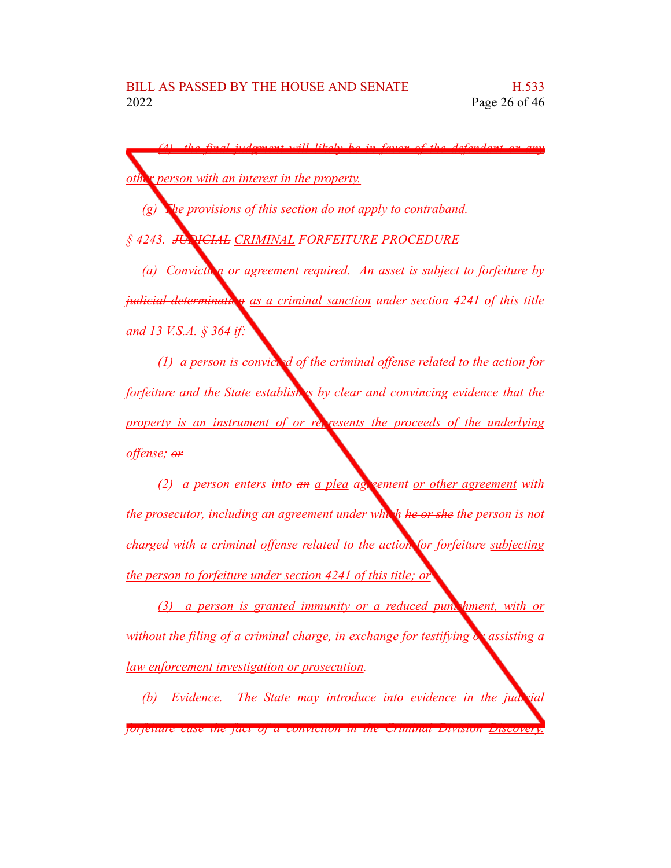*(4) the final judgment will likely be in favor of the defendant or any other person with an interest in the property. (g) The provisions of this section do not apply to contraband. § 4243. JUDICIAL CRIMINAL FORFEITURE PROCEDURE (a) Conviction or agreement required. An asset is subject to forfeiture by judicial determination* as a *criminal sanction under section* 4241 *of this title and 13 V.S.A. § 364 if:*

*(1) a person is convicted of the criminal offense related to the action for forfeiture and the State establishes by clear and convincing evidence that the property is an instrument of or represents the proceeds of the underlying offense; or*

*(2) a person enters into an a plea agreement or other agreement with the prosecutor, including an agreement under which he or she the person is not charged with a criminal offense related to the action for forfeiture subjecting the person to forfeiture under section 4241 of this title; or*

*(3) a person is granted immunity or a reduced punishment, with or without the filing of a criminal charge, in exchange for testifying or assisting a law enforcement investigation or prosecution.*

*(b) Evidence. The State may introduce into evidence in the judicial forfeiture case the fact of a conviction in the Criminal Division Discovery.*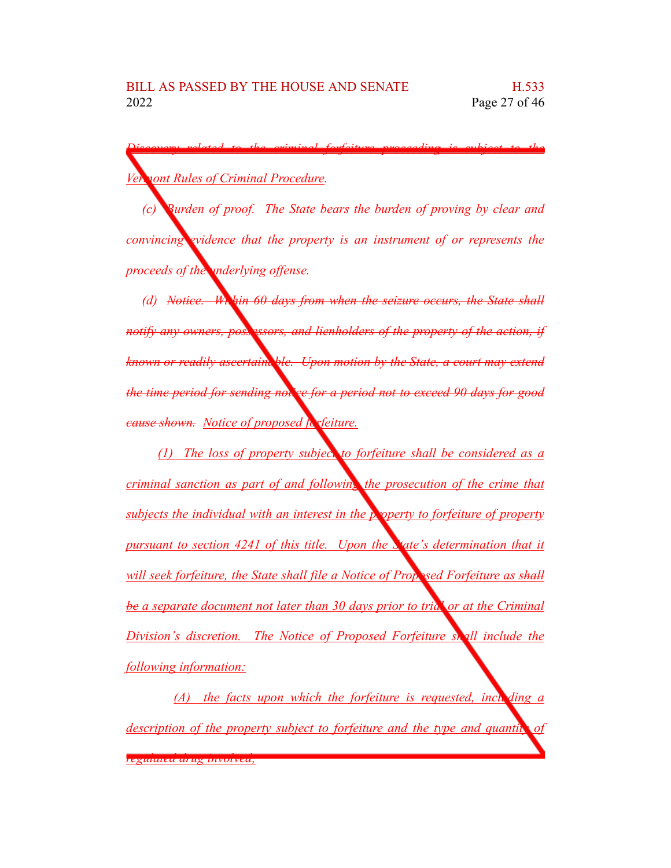*Discovery related to the criminal forfeiture proceeding is subject to the Vermont Rules of Criminal Procedure.* 

*(c) Burden of proof. The State bears the burden of proving by clear and convincing evidence that the property is an instrument of or represents the proceeds of the underlying offense.*

*(d) Notice. Within 60 days from when the seizure occurs, the State shall notify* any *owners, possessors, and lienholders of the property of the action, if known or readily ascertainable. Upon motion by the State, a court may extend the time period for sending notice for a period not to exceed 90 days for good cause shown. Notice of proposed forfeiture.*

*(1) The loss of property subject to forfeiture shall be considered as a criminal sanction as part of and following the prosecution of the crime that subjects the individual with an interest in the property to forfeiture of property pursuant to section 4241 of this title. Upon the State's determination that it will seek forfeiture, the State shall file a Notice of Proposed Forfeiture as shall be a separate document not later than 30 days prior to trial or at the Criminal Division's discretion. The Notice of Proposed Forfeiture shall include the following information:*

*(A) the facts upon which the forfeiture is requested, including a description of the property subject to forfeiture and the type and quantity of regulated drug involved;*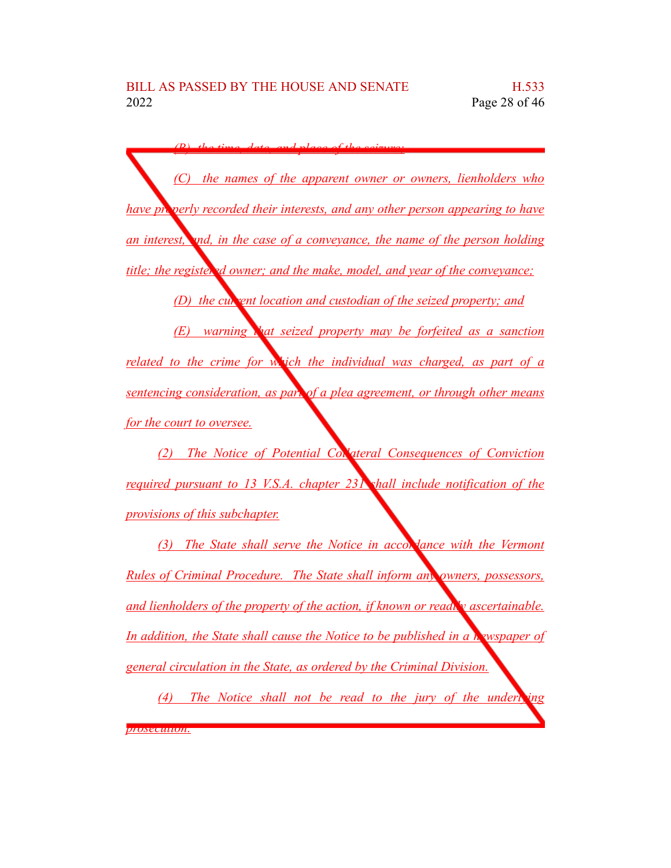*(B) the time, date, and place of the seizure; (C) the names of the apparent owner or owners, lienholders who have properly recorded their interests, and any other person appearing to have an interest, and, in the case of a conveyance, the name of the person holding title; the registered owner; and the make, model, and year of the conveyance; (D) the curvent location and custodian of the seized property; and (E) warning that seized property may be forfeited as a sanction related to the crime for which the individual was charged, as part of a sentencing consideration, as part of a plea agreement, or through other means for the court to oversee.*

*(2) The Notice of Potential Collateral Consequences of Conviction required pursuant to 13 V.S.A. chapter 231 shall include notification of the provisions of this subchapter.*

*(3) The State shall serve the Notice in accord ance with the Vermont Rules of Criminal Procedure. The State shall inform any owners, possessors, and lienholders of the property of the action, if known or readily ascertainable. In addition, the State shall cause the Notice to be published in a newspaper of general circulation in the State, as ordered by the Criminal Division.*

*(4) The Notice shall not be read to the jury of the underlying prosecution.*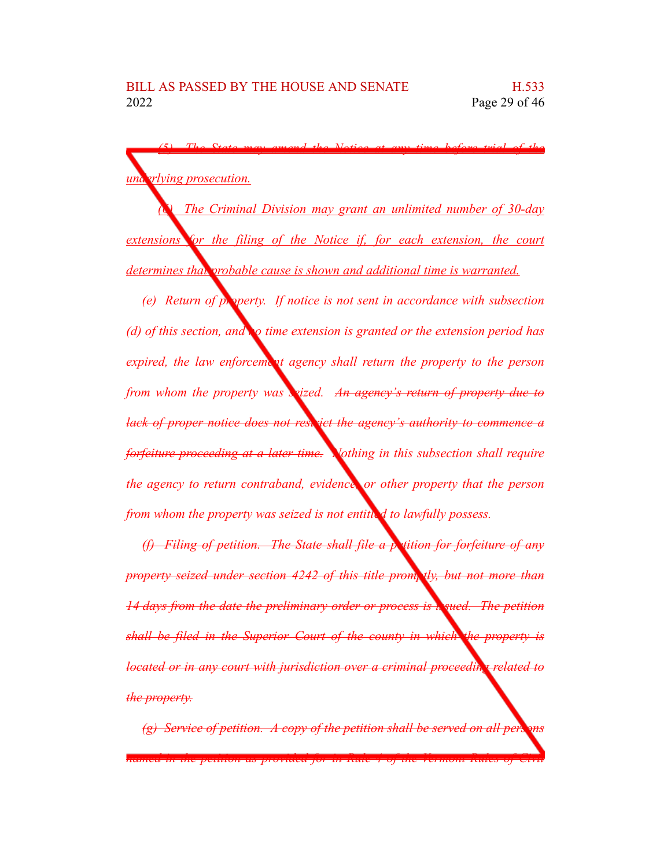*(5) The State may amend the Notice at any time before trial of the underlying prosecution.* 

*(6) The Criminal Division may grant an unlimited number of 30-day extensions for the filing of the Notice if, for each extension, the court determines that probable cause is shown and additional time is warranted.*

*(e) Return of property. If notice is not sent in accordance with subsection (d) of this section, and no time extension is granted or the extension period has expired, the law enforcement agency shall return the property to the person from whom the property was seized. An agency's return of property due to lack of proper notice does not restrict the agency's authority to commence a forfeiture proceeding at a later time. Nothing in this subsection shall require the agency to return contraband, evidence, or other property that the person from whom the property was seized is not entitled to lawfully possess.*

*(f) Filing of petition. The State shall file a petition for forfeiture of any property seized under section 4242 of this title promptly, but not more than 14 days from the date the preliminary order or process is issued. The petition shall be filed in the Superior Court of the county in which the property is located or in any court with jurisdiction over a criminal proceeding related to the property.*

*(g) Service of petition. A copy of the petition shall be served on all periments named in the petition as provided for in Rule 4 of the Vermont Rules of Civil*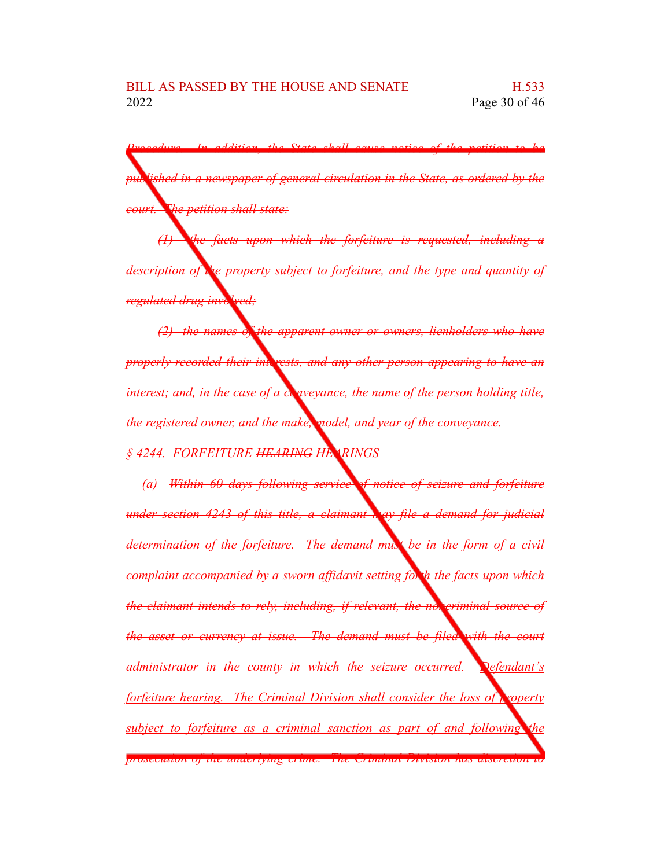*Procedure. In addition, the State shall cause notice of the petition to be published in a newspaper of general circulation in the State, as ordered by the court. The petition shall state:*

*(1) the facts upon which the forfeiture is requested, including a description of the property subject to forfeiture, and the type and quantity of regulated drug involved;*

*(2) the names of the apparent owner or owners, lienholders who have properly recorded their interests, and any other person appearing to have an interest; and, in the case of a conveyance, the name of the person holding title, the registered owner, and the make, model, and year of the conveyance. § 4244. FORFEITURE HEARING HEARINGS*

*(a) Within 60 days following service of notice of seizure and forfeiture under section 4243 of this title, a claimant may file a demand for judicial determination of the forfeiture. The demand must be in the form of a civil complaint accompanied by a sworn affidavit setting forth the facts upon which the claimant intends to rely, including, if relevant, the noncriminal source of the asset or currency at issue. The demand must be filed with the court administrator in the county in which the seizure occurred. Defendant's forfeiture hearing. The Criminal Division shall consider the loss of property subject to forfeiture as a criminal sanction as part of and following the prosecution of the underlying crime. The Criminal Division has discretion to*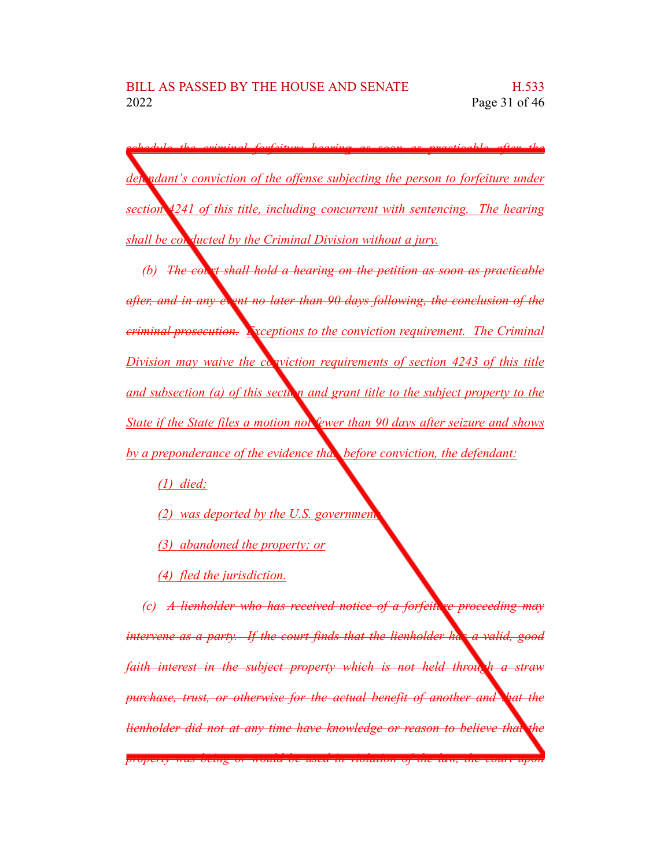*schedule the criminal forfeiture hearing as soon as practicable after the defendant's conviction of the offense subjecting the person to forfeiture under section 4241 of this title, including concurrent with sentencing. The hearing shall be conducted by the Criminal Division without a jury.*

*(b) The court shall hold a hearing on the petition as soon as practicable after, and in any event no later than 90 days following, the conclusion of the criminal prosecution. Exceptions to the conviction requirement. The Criminal Division may waive the conviction requirements of section* 4243 *of this title and subsection* (*a*) *of this section and grant title to the subject property to the State if the State files a motion not fewer than 90 days after seizure and shows by a preponderance of the evidence that, before conviction, the defendant:*

*(1) died;*

- *(2) was deported by the U.S. government;*
- *(3) abandoned the property; or*
- *(4) fled the jurisdiction.*

*(c) A lienholder who has received notice of a forfeiture proceeding may intervene as a party. If the court finds that the lienholder has a valid, good faith interest in the subject property which is not held through a straw purchase, trust, or otherwise for the actual benefit of another and that the lienholder did not at any time have knowledge or reason to believe that the property was being or would be used in violation of the law, the court upon*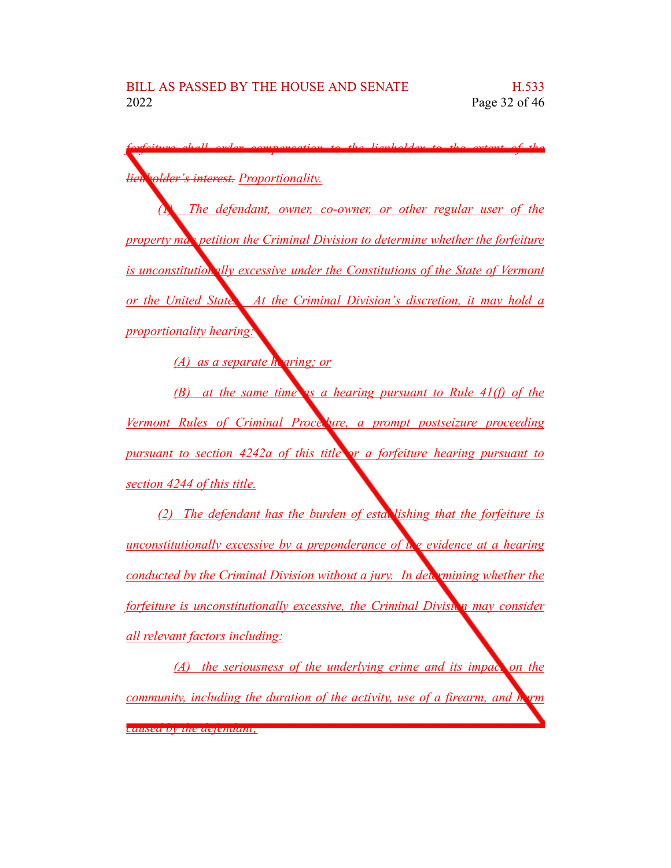| lien rolder's interest. Proportionality.                                         |
|----------------------------------------------------------------------------------|
|                                                                                  |
| The defendant, owner, co-owner, or other regular user of the                     |
| property max petition the Criminal Division to determine whether the forfeiture  |
| is unconstitution ally excessive under the Constitutions of the State of Vermont |
| <u>or the United State. At the Criminal Division's discretion, it may hold a</u> |
| <i>proportionality hearing:</i>                                                  |
| $(A)$ as a separate h aring; or                                                  |
| $(B)$ at the same time as a hearing pursuant to Rule 41(f) of the                |
| Vermont Rules of Criminal Proce lure, a prompt postseizure proceeding            |
| pursuant to section 4242a of this title or a forfeiture hearing pursuant to      |
| section 4244 of this title.                                                      |
| (2) The defendant has the burden of esta. lishing that the forfeiture is         |
| unconstitutionally excessive by a preponderance of the evidence at a hearing     |
| conducted by the Criminal Division without a jury. In determining whether the    |
| forfeiture is unconstitutionally excessive, the Criminal Diviston may consider   |
| all relevant factors including:                                                  |

*(A) the seriousness of the underlying crime and its impact on the community, including the duration of the activity, use of a firearm, and harm caused by the defendant;*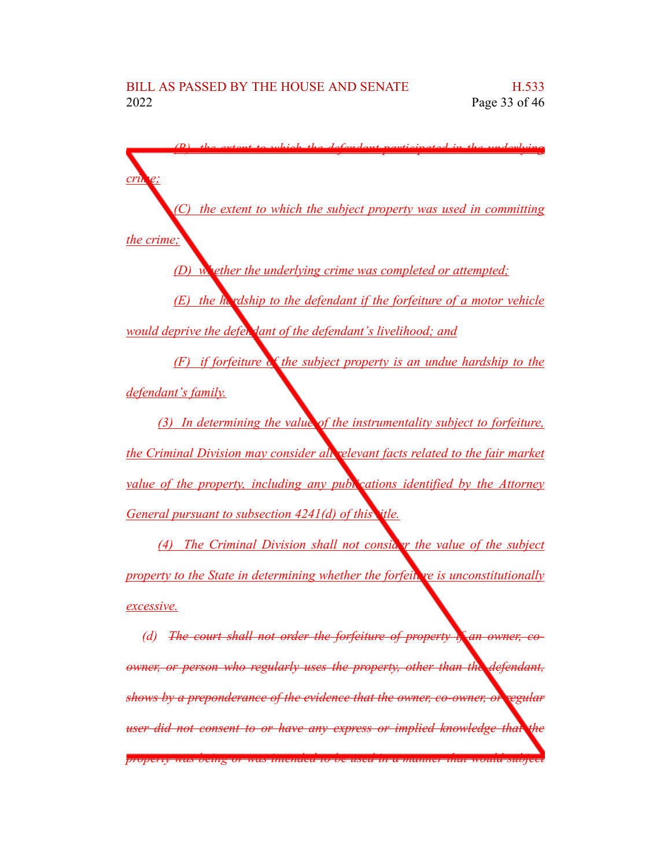*(B) the extent to which the defendant participated in the underlying crime; (C) the extent to which the subject property was used in committing the crime; (D) whether the underlying crime was completed or attempted; (E) the hardship to the defendant if the forfeiture of a motor vehicle would deprive the defendant of the defendant's livelihood; and (F) if forfeiture of the subject property is an undue hardship to the defendant's family. (3) In determining the value of the instrumentality subject to forfeiture, the Criminal Division may consider all relevant facts related to the fair market value of the property, including any publications identified by the Attorney General pursuant to subsection 4241(d) of this title. (4) The Criminal Division shall not consider the value of the subject property to the State in determining whether the forfeiture is unconstitutionally excessive.*

*(d) The court shall not order the forfeiture of property if an owner, coowner, or person who regularly uses the property, other than the defendant, shows by a preponderance of the evidence that the owner, co-owner, or regular user did not consent to or have any express or implied knowledge that the property was being or was intended to be used in a manner that would subject*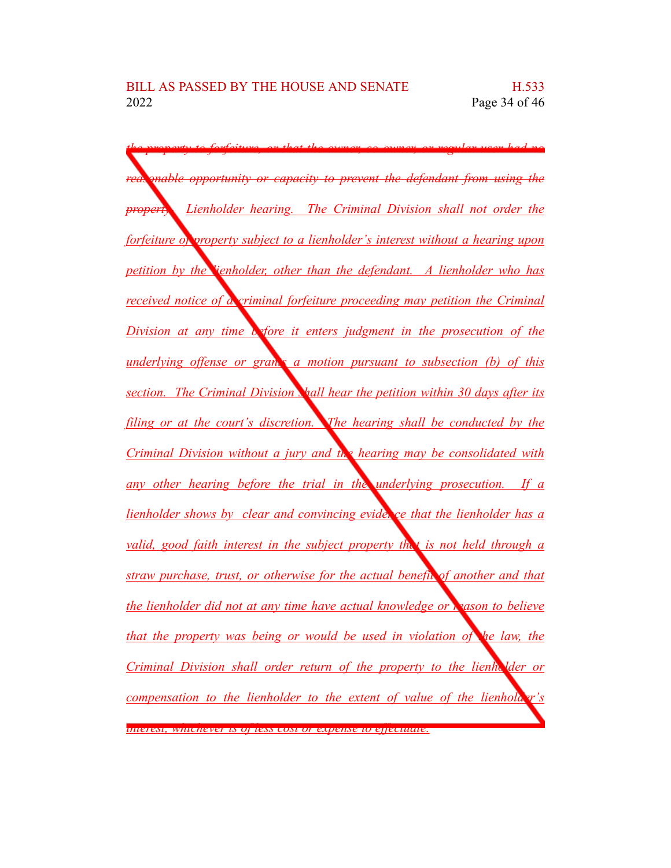*the property to forfeiture, or that the owner, co-owner, or regular user had no reasonable opportunity or capacity to prevent the defendant from using the property. Lienholder hearing. The Criminal Division shall not order the forfeiture of property subject to a lienholder's interest without a hearing upon petition by the lienholder, other than the defendant. A lienholder who has received notice of a criminal forfeiture proceeding may petition the Criminal Division at any time before it enters judgment in the prosecution of the underlying offense or grants a motion pursuant to subsection (b) of this section. The Criminal Division shall hear the petition within 30 days after its filing or at the court's discretion. The hearing shall be conducted by the Criminal Division without a jury and the hearing may be consolidated with any other hearing before the trial in the underlying prosecution. If a lienholder shows by clear and convincing evide*, *ce that the lienholder has a valid, good faith interest in the subject property that is not held through a straw purchase, trust, or otherwise for the actual benefit of another and that the lienholder did not at any time have actual knowledge or reason to believe that the property was being or would be used in violation of the law, the Criminal Division shall order return of the property to the lienholder or compensation to the lienholder to the extent of value of the lienholder's interest, whichever is of less cost or expense to effectuate.*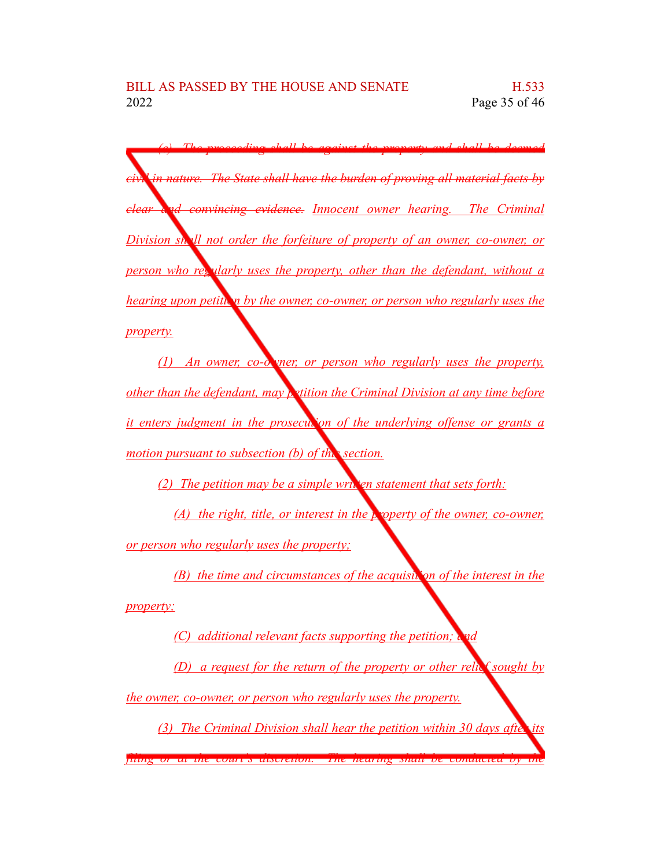*(e) The proceeding shall be against the property and shall be deemed civil in nature. The State shall have the burden of proving all material facts by clear and convincing evidence. Innocent owner hearing. The Criminal Division shall not order the forfeiture of property of an owner, co-owner, or person who regularly uses the property, other than the defendant, without a hearing upon petition by the owner, co-owner, or person who regularly uses the property.*

*(1) An owner, co-owner, or person who regularly uses the property, other than the defendant, may petition the Criminal Division at any time before it enters judgment in the prosecution of the underlying offense or grants a motion pursuant to subsection (b) of this section.*

*(2) The petition may be a simple written statement that sets forth:* 

*(A) the right, title, or interest in the property of the owner, co-owner, or person who regularly uses the property;*

*(B) the time and circumstances of the acquisition of the interest in the property;*

*(C) additional relevant facts supporting the petition; and*

*(D) a request for the return of the property or other relief sought by the owner, co-owner, or person who regularly uses the property.*

*(3) The Criminal Division shall hear the petition within 30 days after its*

*filing or at the court's discretion. The hearing shall be conducted by the*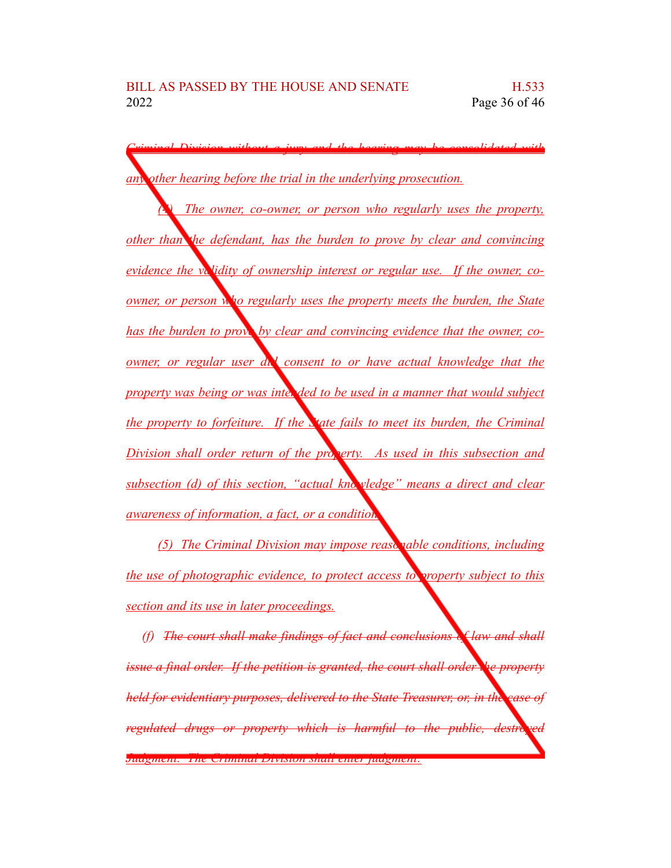*Criminal Division without a jury and the hearing may be consolidated with any other hearing before the trial in the underlying prosecution. (4) The owner, co-owner, or person who regularly uses the property, other than the defendant, has the burden to prove by clear and convincing evidence the validity of ownership interest or regular use. If the owner, coowner, or person who regularly uses the property meets the burden, the State has the burden to prove by clear and convincing evidence that the owner, coowner, or regular user did consent to or have actual knowledge that the property was being or was intended to be used in a manner that would subject the property to forfeiture. If the State fails to meet its burden, the Criminal Division shall orde<u>r</u> return of the property.* As used *in this subsection and subsection (d) of this section, "actual knowledge" means a direct and clear awareness of information, a fact, or a condition.*

*(5) The Criminal Division may impose reasonable conditions, including the use of photographic evidence, to protect access to property subject to this section and its use in later proceedings.*

*(f) The court shall make findings of fact and conclusions of law and shall issue a final order. If the petition is granted, the court shall order the property held for evidentiary purposes, delivered to the State Treasurer, or, in the case of regulated drugs or property which is harmful to the public, destred* 

*Judgment. The Criminal Division shall enter judgment:*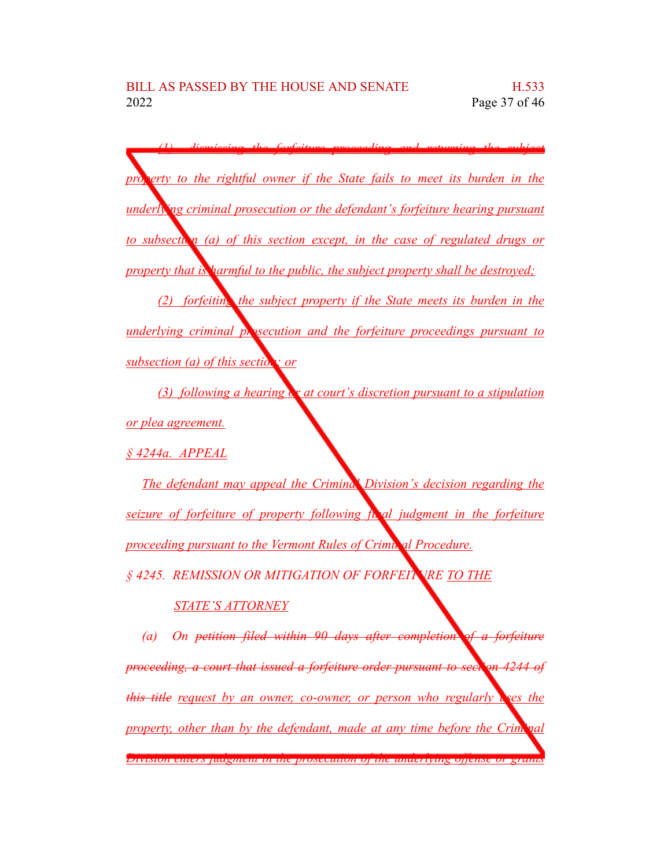*(1) dismissing the forfeiture proceeding and returning the subject property to the rightful owner if the State fails to meet its burden in the underlying criminal prosecution or the defendant's forfeiture hearing pursuant to subsection (a) of this section except, in the case of regulated drugs or property that is harmful to the public, the subject property shall be destroyed; (2) forfeiting the subject property if the State meets its burden in the underlying criminal prosecution and the forfeiture proceedings pursuant to subsection (a) of this section; or (3) following a hearing or at court's discretion pursuant to a stipulation or plea agreement. § 4244a. APPEAL The defendant may appeal the Criminal Division's decision regarding the seizure of forfeiture of property following final judgment in the forfeiture proceeding pursuant to the Vermont Rules of Criminal Procedure. § 4245. REMISSION OR MITIGATION OF FORFEITURE TO THE*

### *STATE'S ATTORNEY*

*(a) On petition filed within 90 days after completion of a forfeiture proceeding, a court that issued a forfeiture order pursuant to section 4244 of this title request by an owner, co-owner, or person who regularly uses the property, other than by the defendant, made at any time before the Criminal Division enters judgment in the prosecution of the underlying offense or grants*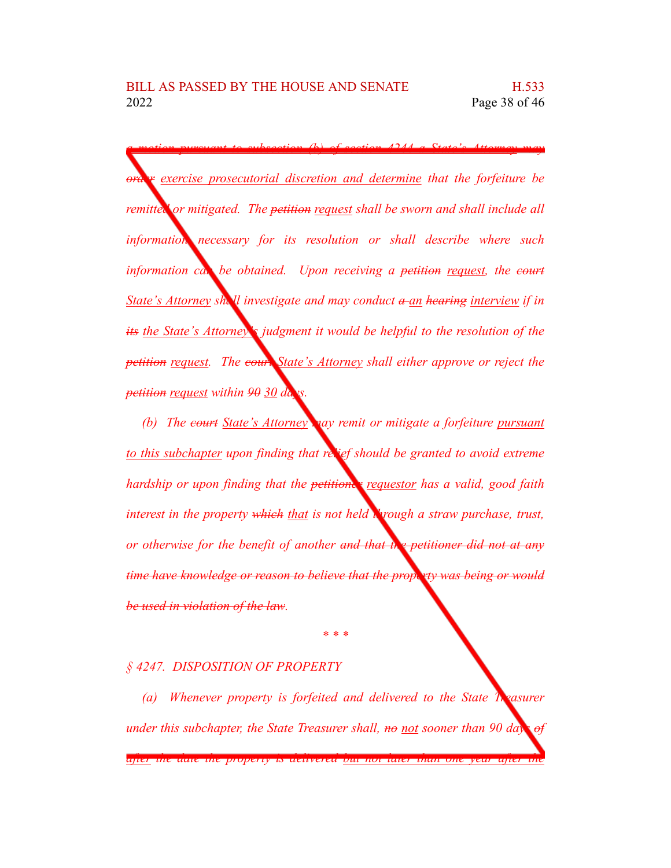*a motion pursuant to subsection (b) of section 4244 a State's Attorney may order exercise prosecutorial discretion and determine that the forfeiture be remitted or mitigated. The petition request shall be sworn and shall include all information necessary for its resolution or shall describe where such information can be obtained. Upon receiving a petition request, the court State's Attorney shall investigate and may conduct a an hearing interview if in its the State's Attorney's judgment it would be helpful to the resolution of the petition request. The court State's Attorney shall either approve or reject the petition request within 90 30 days.*

*(b) The court State's Attorney may remit or mitigate a forfeiture pursuant to this subchapter upon finding that relief should be granted to avoid extreme hardship or upon finding that the petitioner requestor has a valid, good faith interest in the property which that is not held through a straw purchase, trust, or otherwise for the benefit of another and that the petitioner did not at any time have knowledge or reason to believe that the property was being or would be used in violation of the law.*

### *§ 4247. DISPOSITION OF PROPERTY*

*(a) Whenever property is forfeited and delivered to the State Treasurer under this subchapter, the State Treasurer shall, no not sooner than 90 days of after the date the property is delivered but not later than one year after the*

*\* \* \**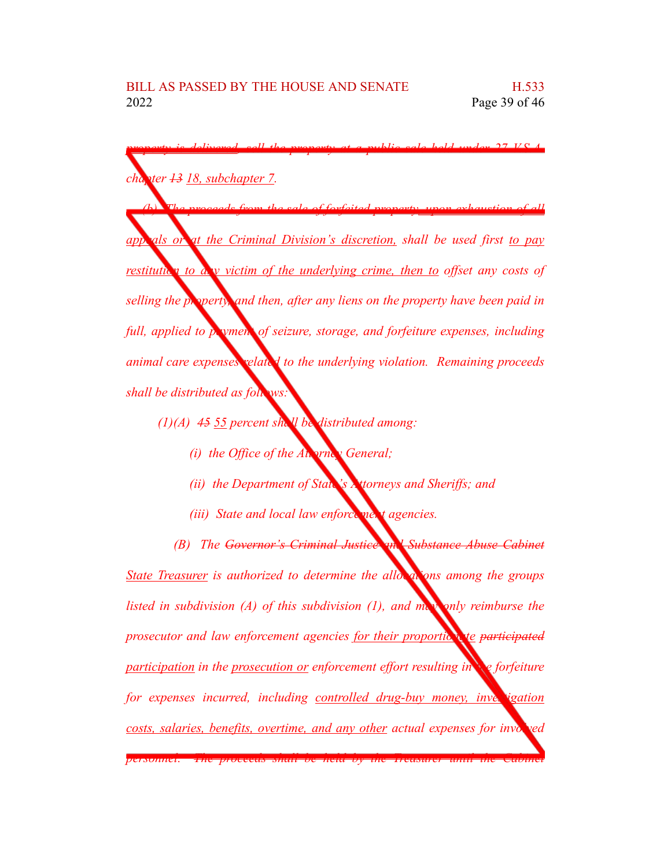*property is delivered, sell the property at a public sale held under 27 V.S.A. chapter 13 18, subchapter 7. (b) The proceeds from the sale of forfeited property, upon exhaustion of all appeals or at the Criminal Division's discretion, shall be used first to pay restitution to any victim of the underlying crime, then to offset any costs of selling the property, and then, after any liens on the property have been paid in full, applied to payment of seizure, storage, and forfeiture expenses, including animal care expenses related to the underlying violation. Remaining proceeds shall be distributed as follows:*

- *(1)(A) 45 55 percent shall be distributed among:*
	- *(i) the Office of the Attorney General;*
	- *(ii) the Department of State's Attorneys and Sheriffs; and*
	- *(iii) State and local law enforce mext agencies.*

*(B) The Governor's Criminal Justice and Substance Abuse Cabinet State Treasurer is authorized to determine the allocations among the groups listed in subdivision (A) of this subdivision (1), and may only reimburse the prosecutor* and law enforcement agencies for their proportion to participated *participation in the prosecution or enforcement effort resulting in the forfeiture for expenses incurred, including controlled drug-buy money, investigation costs, salaries, benefits, overtime, and any other actual expenses for involved personnel. The proceeds shall be held by the Treasurer until the Cabinet*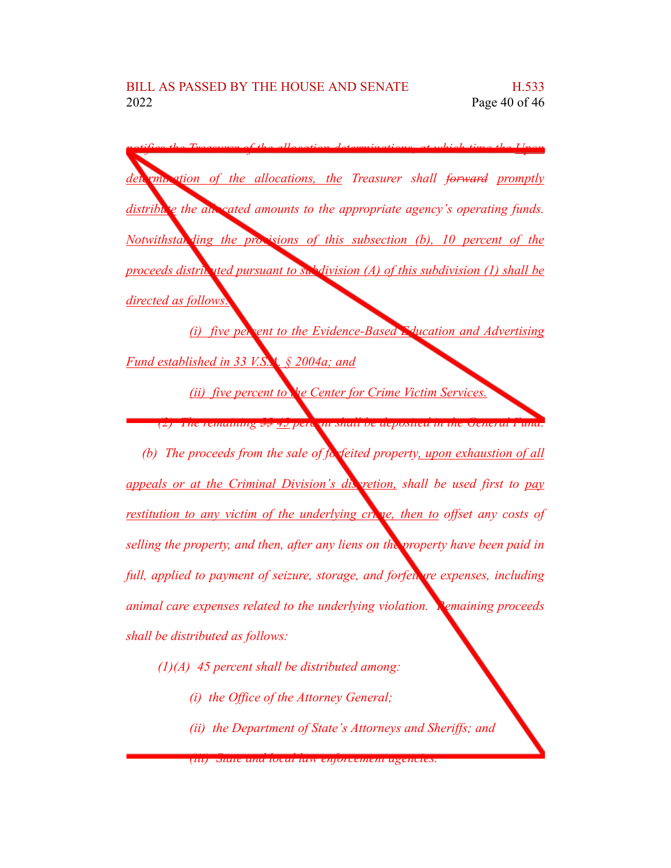*notifies the Treasurer of the allocation determinations, at which time the Upon determination of the allocations, the Treasurer shall forward promptly distribute the allocated amounts to the appropriate agency's operating funds. Notwithstan ding the provisions of this subsection (b), 10 percent of the proceeds distributed pursuant to subdivision (A) of this subdivision (1) shall be directed as follows:*

*(i) five percent to the Evidence-Based Education and Advertising Fund established in 33 V.S.A. § 2004a; and*

*(ii) five percent to the Center for Crime Victim Services.*

*(2) The remaining 55 45 percent shall be deposited in the General Fund.*

*(b) The proceeds from the sale of forfeited property, upon exhaustion of all appeals or at the Criminal Division's discretion, shall be used first to pay restitution to any victim of the underlying crime, then to offset any costs of selling the property, and then, after any liens on the property have been paid in full, applied to payment of seizure, storage, and forfeiture expenses, including animal care expenses related to the underlying violation. Remaining proceeds shall be distributed as follows:*

- *(1)(A) 45 percent shall be distributed among:*
	- *(i) the Office of the Attorney General;*
	- *(ii) the Department of State's Attorneys and Sheriffs; and*

*<sup>(</sup>iii) State and local law enforcement agencies.*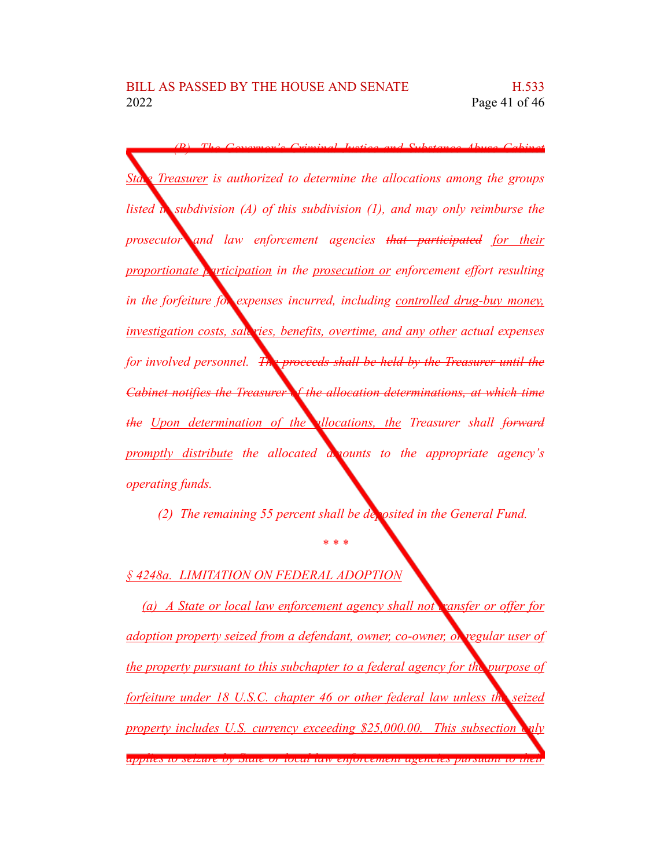*(B) The Governor's Criminal Justice and Substance Abuse Cabinet State Treasurer is authorized to determine the allocations among the groups listed in subdivision (A) of this subdivision (1), and may only reimburse the prosecutor and law enforcement agencies that participated for their proportionate participation in the prosecution or enforcement effort resulting in the forfeiture for expenses incurred, including controlled drug-buy money, investigation costs, salaries, benefits, overtime, and any other actual expenses for involved personnel. The proceeds shall be held by the Treasurer until the Cabinet notifies the Treasurer of the allocation determinations, at which time the Upon determination of the allocations, the Treasurer shall forward promptly distribute the allocated amounts to the appropriate agency's operating funds.*

*(2) The remaining 55 percent shall be deposited in the General Fund.*

*\* \* \**

*§ 4248a. LIMITATION ON FEDERAL ADOPTION*

*(a) A State or local law enforcement agency shall not transfer or offer for adoption property seized from a defendant, owner, co-owner, or regular user of the property pursuant to this subchapter to a federal agency for the purpose of forfeiture under 18 U.S.C. chapter 46 or other federal law unless the seized property includes U.S. currency exceeding \$25,000.00. This subsection only applies to seizure by State or local law enforcement agencies pursuant to their*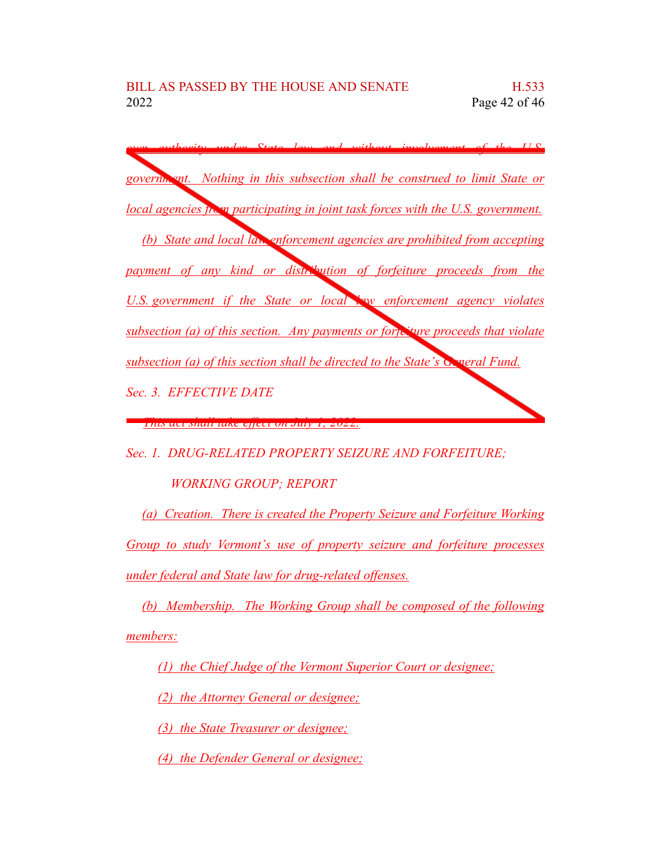

*Sec. 1. DRUG-RELATED PROPERTY SEIZURE AND FORFEITURE;*

*WORKING GROUP; REPORT*

*(a) Creation. There is created the Property Seizure and Forfeiture Working Group to study Vermont's use of property seizure and forfeiture processes under federal and State law for drug-related offenses.*

*(b) Membership. The Working Group shall be composed of the following members:*

*(1) the Chief Judge of the Vermont Superior Court or designee;*

*(2) the Attorney General or designee;*

*(3) the State Treasurer or designee;*

*(4) the Defender General or designee;*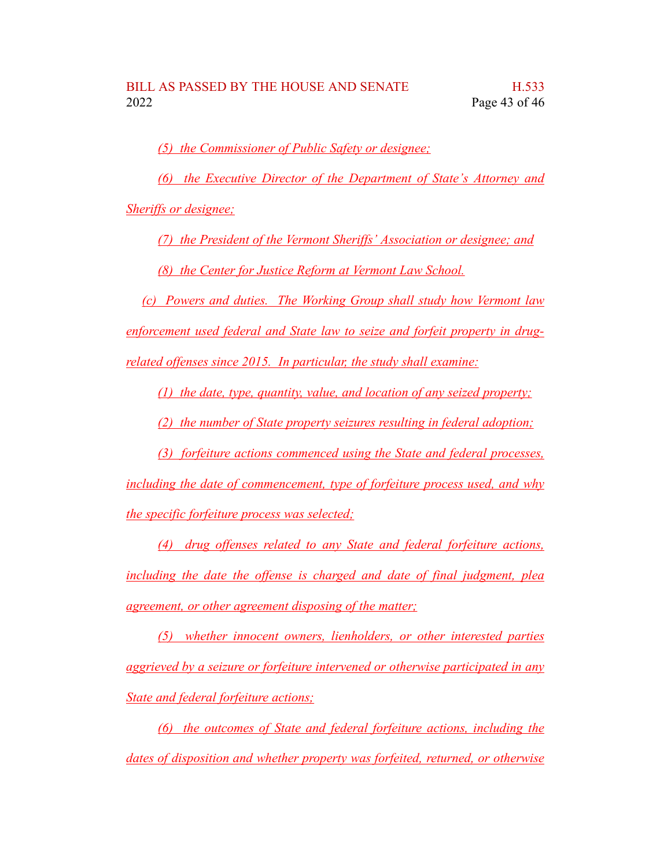*(5) the Commissioner of Public Safety or designee;*

*(6) the Executive Director of the Department of State's Attorney and*

*Sheriffs or designee;*

*(7) the President of the Vermont Sheriffs' Association or designee; and*

*(8) the Center for Justice Reform at Vermont Law School.*

*(c) Powers and duties. The Working Group shall study how Vermont law enforcement used federal and State law to seize and forfeit property in drugrelated offenses since 2015. In particular, the study shall examine:*

*(1) the date, type, quantity, value, and location of any seized property;*

*(2) the number of State property seizures resulting in federal adoption;*

*(3) forfeiture actions commenced using the State and federal processes, including the date of commencement, type of forfeiture process used, and why the specific forfeiture process was selected;*

*(4) drug offenses related to any State and federal forfeiture actions, including the date the offense is charged and date of final judgment, plea agreement, or other agreement disposing of the matter;*

*(5) whether innocent owners, lienholders, or other interested parties aggrieved by a seizure or forfeiture intervened or otherwise participated in any State and federal forfeiture actions;*

*(6) the outcomes of State and federal forfeiture actions, including the dates of disposition and whether property was forfeited, returned, or otherwise*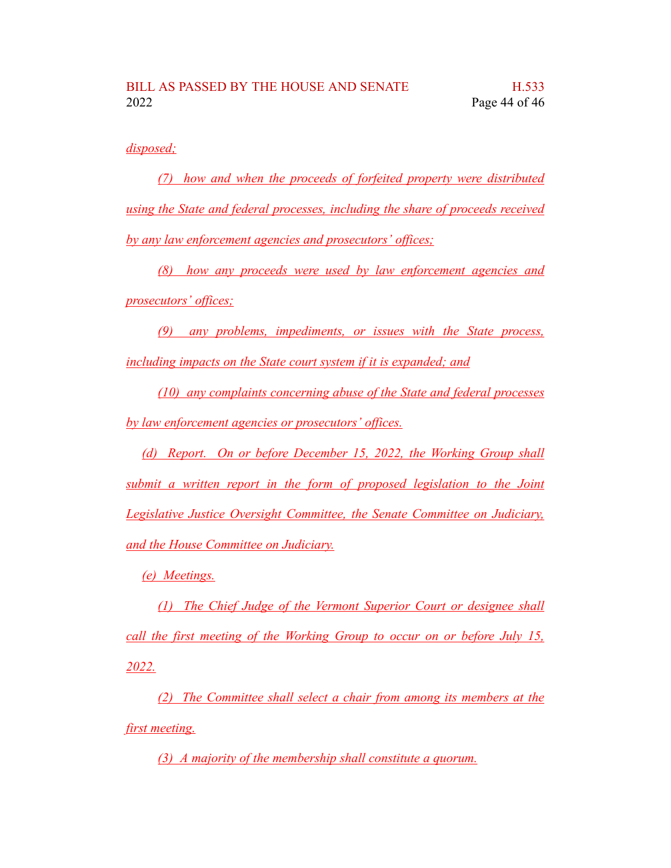*disposed;*

*(7) how and when the proceeds of forfeited property were distributed using the State and federal processes, including the share of proceeds received by any law enforcement agencies and prosecutors' offices;*

*(8) how any proceeds were used by law enforcement agencies and prosecutors' offices;*

*(9) any problems, impediments, or issues with the State process, including impacts on the State court system if it is expanded; and*

*(10) any complaints concerning abuse of the State and federal processes by law enforcement agencies or prosecutors' offices.*

*(d) Report. On or before December 15, 2022, the Working Group shall submit a written report in the form of proposed legislation to the Joint Legislative Justice Oversight Committee, the Senate Committee on Judiciary, and the House Committee on Judiciary.*

*(e) Meetings.*

*(1) The Chief Judge of the Vermont Superior Court or designee shall call the first meeting of the Working Group to occur on or before July 15, 2022.*

*(2) The Committee shall select a chair from among its members at the first meeting.*

*(3) A majority of the membership shall constitute a quorum.*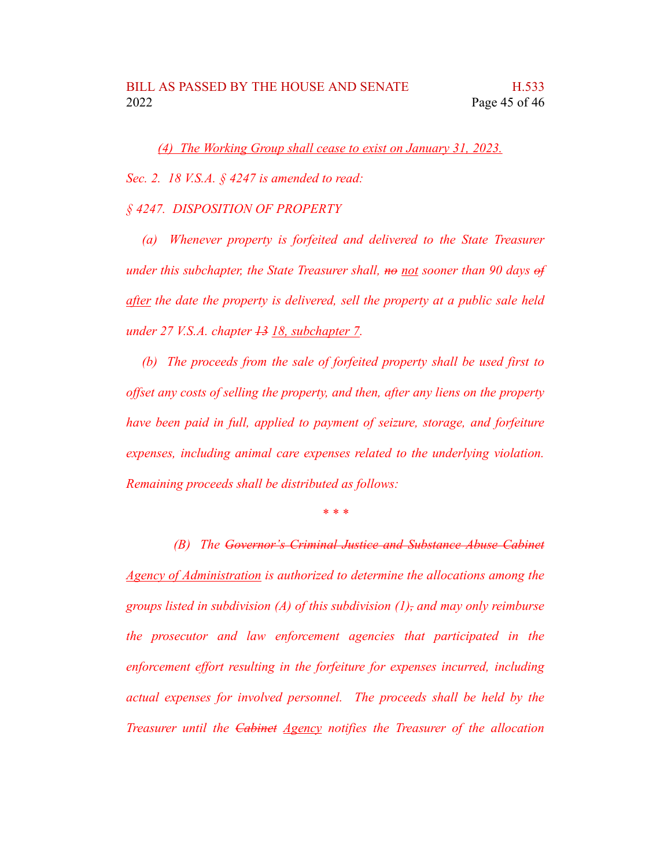*(4) The Working Group shall cease to exist on January 31, 2023.*

*Sec. 2. 18 V.S.A. § 4247 is amended to read:*

#### *§ 4247. DISPOSITION OF PROPERTY*

*(a) Whenever property is forfeited and delivered to the State Treasurer under this subchapter, the State Treasurer shall, no not sooner than 90 days of after the date the property is delivered, sell the property at a public sale held under 27 V.S.A. chapter 13 18, subchapter 7.*

*(b) The proceeds from the sale of forfeited property shall be used first to offset any costs of selling the property, and then, after any liens on the property have been paid in full, applied to payment of seizure, storage, and forfeiture expenses, including animal care expenses related to the underlying violation. Remaining proceeds shall be distributed as follows:*

*\* \* \**

*(B) The Governor's Criminal Justice and Substance Abuse Cabinet Agency of Administration is authorized to determine the allocations among the groups listed in subdivision (A) of this subdivision (1), and may only reimburse the prosecutor and law enforcement agencies that participated in the enforcement effort resulting in the forfeiture for expenses incurred, including actual expenses for involved personnel. The proceeds shall be held by the Treasurer until the Cabinet Agency notifies the Treasurer of the allocation*